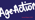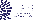### **Contents**

| 1. Values                                             |    |
|-------------------------------------------------------|----|
| 2. Message from the Chair                             | 4  |
| 3. Message from the CEO                               | 5  |
| 4. Towards Equality For All As We Age - Report on our |    |
| Strategic Plan 2022 - 2023                            |    |
| 5. Our Impact                                         | 12 |
| 6. Age Action in Action                               | 13 |
| 7. How We Raised Our Funds                            | 44 |
| 8. Our Board                                          | 49 |
| 9. Directors Report and Financial Information         | 53 |



**Age Action is Ireland's leading advocacy organisation on ageing and older people. Age Action works for a society that enables all older people to participate and to live full, independent lives. To achieve this, Age Action supports and advocates for equality and human rights for all older people.**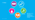**Participation**

### **Dignity Professionalism**





**Social Justice**

**Diversity**



### **1. Values**







**Age Action's work is driven by an organisation that is professional in its operations and lives out its values.**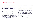## **2. Message from the Chair**

**Age Action's work to address ageism and to advocate for a society in which we can all age well, with adequate supports and close to our community and family, is more important than ever. Our endeavours, as we aspire to move beyond the pandemic, are set out in detail in this report.** 

In supporting the CEO, our dedicated staff and many volunteers, the Board of Age Action has worked hard to ensure the organisation is financially secure, well governed and has a healthy organisational culture. The work of the Board, and various board committees is described in detail below. As Chairperson I wish particularly to acknowledge and highlight the attention the Board has paid to sound financial and risk management. One objective the Board set itself for 2021 was to secure additional financial support for our flagship Care & Repair service. This is a vital service, which supports older people to age well at home, by undertaking small maintenance and other tasks, which might otherwise remain unaddressed, and pose a safety risk. The Board are delighted that the HSE agreed to pilot this service across a number of sites in 2021, and to continue that support in 2022. This service has the potential to be a nationwide service, and to make a significant

contribution to supporting Government policy, to reduce hospital admissions and to support older people to retain their independence and remain in their own homes. We will continue to work with the HSE to establish this service nationwide.

Another highlight in 2021 was the number of measures the Board and its committees undertook to monitor the organisation's risk, practice good governance and ensure Age Action's compliance with the standards required by the Charities code. I wish to commend and thank my colleagues on the Board for their work and dedication throughout 2021. I would also like to thank outgoing board members Pat McCormack, Justin Moran and Robin Webster.

As the Board of an advocacy organisation, we recognise that change in government policies, institutional practices or societal behaviours can be hard to achieve. It requires a long-term view and a multi-year strategy. The Board, supported by the executive, has a vital role to play, not just in setting the strategic direction for the organisation but also in ensuring a sustainable base on which we can build for the future.

**Finally, I would like to thank the Board, staff, volunteers and supporters of Age Action Ireland for your outstanding efforts and support, which are much appreciated.**

**Michael Ahern,** Chair of the Board

*Michael Ahern*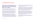## **3. Message from the CEO**

**2021 ushered in the United Nations Decade on Healthy Ageing with the first Global Report on Ageism which is a rallying call to all of us that ageism can be combatted.** 

The report notes that policies and laws that address ageism, educational activities that enhance empathy and dispel misconceptions, and intergenerational activities that reduce prejudice all help decrease ageism.

Ageism refers to how we think (stereotypes), feel (prejudice) and act (discrimination) towards others or ourselves according to age. Ageism affects us throughout life and exists in our institutions, our relationships and ourselves. Ageism intersects with and exacerbates other forms of disadvantage including those related to sex, race, and disability.

The United Nations Independent Expert on the Enjoyment of Human Rights by Older Persons describes how, for human rights purposes, age is not merely a numerical designation, but a social construct based on custom, practice, and the perception of the role a person plays in his or her community. Addressing ageism is fundamental to realising equality for all of us in later life which is why Age Action is committed to raising awareness

of the issue. It is clear, given the fact that every second person in the world holds ageist attitudes, that the conversation about ageism needs to start in our communities and our workplaces.

Positive Ageing Week 2021, convened by Age Action, was an opportunity for communities to reframe how we think, feel and act about older people and ageing. Over 80 events were hosted by community groups, statutory bodies, Local Authorities, academic institutions and businesses. The theme of Reconnecting Our Communities by Reframing Ageing was selected to raise awareness of what ageism is and how it impacts on our lives.

In March we launched the Age Action BIG Corporate Challenge (where BIG stands for Be Inter-Generational) as a six-month Corporate Social Responsibility programme that encouraged corporate teams to promote intergenerational connection whilst raising funds and awareness to support Age Action. Increasing our understanding across generations is key to transforming attitudes towards ageing and achieving a more inclusive society that values all of us as we age.

Participating companies received educational support from Age Action through three webinar-style workshops exploring perceptions of age in the workplace and community.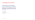Age Action sincerely appreciates the support of a wide range of organisations and individuals in our work to challenge and address ageism in 2021. The positive change we seek in the lives of older people and all of us as we age can only come about through collective effort.

**I particularly want to acknowledge and thank our staff, volunteers and Board of Directors for their commitment to Age Action's values and objectives, and their work towards making Ireland a more equal place for us all as we age.**

## **3. Message from the CEO**

**Paddy Connolly,** CEO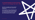

**4. Towards Equality For All As We Age** – Report on our Strategic Plan 2021 – 2023

**Age Action successfully met all of its expected outcomes for the 2021 period, outlined in the Strategic Plan.**

**Set out overleaf are the key achievements under each strategic goal. A deeper understanding of our work can be gained by visiting our website www.ageaction.ie and reading our Strategic Plan, Towards Equality for All As We Age.**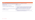**Engage stakeholders including Government, the wider community and older people themselves to challenge ageism in laws, policies, systems and communities to guarantee equality and rights for all of us as we age.**

### **Objectives 2021 – 2023 Highlights of What We Did**

### Scheduled for 2022.

- To raise awareness of what ageism is, the impacts and interventions that can be taken to challenge it in Ireland Age Action published and disseminated a policy brief Ageism and Age Equality – Implementing the WHO Global Report on Ageism in September.
- The proposal has been raised in Pre-Budget Submissions and meetings with officials stakeholders. A position paper will be published in 2022 to support continued ocacy.
- Successfully convened Positive Ageing Week 2021 on the theme of ageism -*Reconnecting Communities by Reframing Ageing*. 88 events registered on the refreshed positiveageingweek.com which is a 5% increase on 2020.

| <b>Objectives 2021 - 2023</b>                                                         | Hig               |
|---------------------------------------------------------------------------------------|-------------------|
| <b>1.1</b> Map ageist narratives in media and public policy                           | 1.1               |
| 1.2 Build capacity of stakeholders to identify and challenge ageism                   | 1.2               |
| 1.3 Inform and advocate for the creation of an office of a Commissioner<br>for Ageing | 1.3<br>and<br>adv |
| <b>1.4 Convene Positive Ageing Week</b>                                               | 1.4               |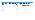**Inform and influence policies and practice to give income security and economic opportunities that upholds older people's dignity and independence.**

### **Objectives 2021 – 2023 Highlights of What We Did**

The proposal has been raised in Pre-Budget Submissions and meetings with officials stakeholders. Advocacy work will continue in 2022/23.

**2.2** Successfully advocated for the report of the Pension Commission to include recommendations to end mandatory retirement clauses before pension eligibility and implement benchmarking and indexation for future State Pension increases.

| <b>Objectives 2021 - 2023</b>                                                                                                                             | Hig                   |
|-----------------------------------------------------------------------------------------------------------------------------------------------------------|-----------------------|
| 2.1 Seek the commissioning of a national study on the Cost of Ageing<br>by Government                                                                     | 2.1<br>and            |
| 2.2 Advocate for reform of the pension system to provide income<br>security and adequacy for people who depend on it                                      | 2.2                   |
| 2.3 Create and provide opportunities for learning, with a focus on<br>diversity and inclusion, that meet the needs and aspirations of all<br>older people | 2.3                   |
| <b>2.4</b> Advocate for education and skills that supports older workers<br>and the older unemployed.                                                     | 2.4<br>$m$ $\epsilon$ |

**2.3** Age Action Getting Started programme continued to deliver digital skills training throughout COVID-19 reaching 498 people which, although is 11% less than 2020, is a significant achievement given COVID-19 public health measures that were in place.

4 The required policy responses have been raised in Pre-Budget Submissions and eetings with officials and stakeholders. Advocacy work will continue in 2022/23.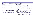**Inform and influence policies and practice that give people choice and control over their lives in later life.**

### **Objectives 2021 – 2023 Highlights of What We Did**

- **3.1** Published and disseminated Digital Inclusion and an Ageing Population policy brief with the key message that 'digital first should not mean digital only'. The report was launched on International Day of Older Persons and gained extensive media coverage including on the 3 main news bulletins on RTÉ.
- **3.2** Participated in the National Technical Advisory Group on the 10 Year Adult Literacy, Numeracy and Digital Literacy Strategy supporting the Adult Literacy for Life Strategy which recognises the specific needs of older people in terms of digital inclusion. Successfully advocated for increased investment in digital literacy which was reflected in Budget 2022.

Appointed to a number of fora in 2021 to advocate for rights-based approach to care including HSE led erRai Project Working Group, Advisory Group on Recommendations on ICT Enablement of Older Persons vices and the Programme Board of the National Nursing Home Survey.

| <b>Objectives 2021 - 2023</b>                                                                                                       | Hig                |
|-------------------------------------------------------------------------------------------------------------------------------------|--------------------|
| <b>3.1</b> Empower older people to be active digital citizens through<br>advocacy and programme delivery                            | 3.1                |
| 3.2 Inform the development and implementation of public policy to<br>advance digital literacy of older people                       | 3.2                |
| <b>3.3</b> Advocate for a person-centred rights-based approach to long<br>term care                                                 | 3.3<br>inte<br>Ser |
| 3.4 Enable access for older people to services and resources they<br>require to remain at home safely, in comfort and with dignity. | 3.4                |
|                                                                                                                                     | 3.4                |

- **3.4** Age Action successfully advocated for amendments to be made to the Fuel Allowance as part of Budget 2022 which increases the rate but also the number of people that can qualify.
- **3.4** In recognition of the value of Age Action Care and Repair, the HSE committed funding for a pilot national roll out of Care and Repair for people exiting or preventing a hospital stay thereby expanding Age Action's capacity to age in place support older people to age in place.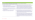**Ensure Age Action operates to the highest standards in its functions of advocacy, service provision, employment, and governance, and in a manner that engages our values explicitly, consistently, and coherently.**

| 4.1 Be strategic in planning, monitoring, evaluating, and reflecting on and<br>learning from our operations and activities.                                                                                         | 4.1        |
|---------------------------------------------------------------------------------------------------------------------------------------------------------------------------------------------------------------------|------------|
| 4.2 Develop and implement internal policies and procedures that set high<br>standards and establish how these are to be met in implementing our<br>advocacy, service provision employment and governance functions. | 4.2        |
| 4.3 Support and build the commitment and capacity of all staff to realise<br>their potential and to make their full contribution to the work and<br>ambitions of Age Action.                                        | 4.3        |
| 4.4 Implement the systems required for an ongoing and effective<br>engagement with our core values in all areas of our work.                                                                                        | <b>4,4</b> |

- **4.1** Designed and implemented a Monitoring and Evaluation framework to support the management team's operational planning and quarterly reporting to the Board of Directors.
- An Interim Remote Working Policy was developed for staff working from home due to COVID-19 to ensure high standards were maintained regardless of where staff were working from. To ensure the safety of clients, staff and volunteers a COVID-19 Business Response Plan was developed and continuously updated as Government guidance evolved.
- **4.3** A Supervision Policy piloted in 2020 was implemented across the organisation in 2021 providing individual support and to focus on the work outcomes and personal development.
- **4.4** Successfully rebranded Age Action to better reflect the values and purpose of the organisation which are grounded in the pursuit of equality and human rights for all of us as we age. A Brand Ambassador team, drawn from staff in each department, was appointed to support the accuracy and consistency across the use of the brand identity and brand approval process was put in place to protect the identity.
- **4.4** To embed the Values Statement in the culture and work practice of Age Action a voluntary Values Committee was initiated which met six times during the year. A baseline survey of staff was conducted to assess the degree to which values are embedded in our work. As a result, the Values Committee implemented a number of actions including Quarterly All Staff Values Meetings and a bi-monthly Values Bulletin. The survey was repeated 8 months later which showed a significant improvement on the aggregate average score from the baseline survey.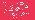**Age Action Annual Report 2021 12**

### **5. Our Impact**

**24** 

## **20,286 Direct Beneficiaries**

**times issues raised with officials** 



**186 Number of times issues raised in media**



### **1,099 new volunteers inducted**





**22** 

**Press releases**

**9 Submissions**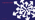

## **6. Age Action in Action**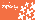

**Engage stakeholders including Government, the wider community and older people themselves to challenge ageism in laws, policies, systems and communities to guarantee equality and rights for all of us as we age.**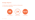## **Strategic Objective**

- **1.2 Build capacity of stakeholders to identify and challenge ageism**
- **1.4 Convene Positive Ageing Week**

**to stakeholders** 



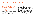### **Context**

**Ageism and its accompanying stereotypes, alongside their prevalence in public discourse, represents a significant challenge to equality and human rights for older people and highlights the importance of achieving cultural change.**

Older people can also internalise ageism resulting in a diminished sense of stake in society and community, self-worth, and hope. Diminished status and standing limits access to resources, power influence and respect.

The WHO points to a range of scientific studies that show how ageism "has profound negative consequences on older adults' health and well-being."

To end ageism, we need to change people's knowledge, attitudes and behaviour.

### **Activity Spotlight 1**

Positive Ageing Week (PAW) is an Age Action initiative to promote the agency of older people and to celebrate the contribution they make to our families, workplaces, communities and society as a whole. In 2021, building on the 19 years that individuals, community groups, local authorities and businesses have been organising events to mark PAW, we aimed to develop a coherent and consistent theme, addressing ageism, in our communications with all these stakeholders.

Reconnecting Our Communities by Reframing Ageing was the theme for PAW 2021 which sought to raise awareness of and challenge negative stereotypes about ageing and older people. The portrayal of older people as vulnerable, frail, in need of care and protection that characterised much of the narrative during COVID-19 failed to recognise the diversity of experience and situation of older people. PAW provided an opportunity for communities to reconnect while also reframing how we think, feel and act about older people and ageing.

To inform discussion about ageism Age Action published a policy brief Ageism and Age Equality – Implementing the WHO Global Report on Ageism, in September 2021, which provides context for the UN Global

## **Reframing Ageing** – Positive Ageing Week 2021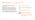Report on Ageism's findings for an Irish audience as well as making concrete recommendations for Government, private sector and society to address ageism.

Activity organisers were encouraged to register their events on positiveageingweek.com which acts as a hub for PAW. To support people organising events Age Action produced communications assets (published on positiveageingweek.com and disseminated to over 100 stakeholder organisations) and collated resources, including providing access to positive ageing images, to support people to understand and challenge ageism.

By the end of the week 88 events were registered which is a 5% increase on 2020. Over 9000 stakeholders received newsletter updates directly to their emails and media engagement generated an audience reach of xx million.



### **to access services or activities because they were only available online.**  $\frac{1}{2}$ **Older People's Experience of COVID-19**

### **cancelled or postponed.** 54% **Reframing Ageing** – Positive Ageing Week 2021

**Government action against ageism was called for which would be a timely response to the United Nations Global Campaign Against Ageism.**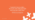



## **"I seemed to lose my rights… Go to your room, keep your head down and your mouth shut".**

**Respondent to** *The Lived Experience of Older People* **Survey for Budget 2022**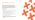

### **How We Work** – Advocacy

As an advocacy organisation, Age Action starts from the needs, perspectives, interests, participation, and involvement of older people. We are solution focused on presenting, building the demand for, and securing a response to our vision of change. We seek change in policy thinking, policy making and policy implementation. In particular, we advocate for greater participation of older people in the policy decisions that impact on their lives.

We are committed to:

- engaging with older people and mobilising their ongoing involvement in our work
- innovating in providing services to address the needs of older that prefigure and demonstrate the change we seek
- research, knowledge development, and building the case for change
- building relationships with and lobbying policy makers
- communication and awareness raising
- engaging with different sectors and organisations in building support and shared endeavour for advancing equality and human rights for older people.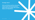



**Inform and influence policies and practice to give income security and economic opportunities that upholds older people's dignity and independence.**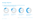### **Strategic Objective**

**2.2 Advocate for reform of the pension system to provide income security and adequacy for people who depend on it**



More than a sixth (17.3%) of older adults (aged 65+) are at risk of poverty or social exclusion.

Women (19.7%) are more at risk of pocerty than men (13.9%).

42.8% of older persons (aged 65+) living alone are at risk of poverty.



Fewer than half (46.3%) of Contributory State Pension recipients receive the maximum amount.



/13.9%

Source: https://ec.europa.eu/eurostat/databrowser/view/ILC\_LI03\_\_custom\_2468799/default/table?lang=en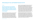### **Context**

**Age Action advocates for fair and flexible pensions that give older people choice and control over their lives. In practice this would include the abolition of mandatory retirement clauses and the indexing and benchmarking of the State Pension.**

### **Activity Spotlight 2**

Age Action was one of the partner organisations in the successful STOP67 Campaign, which was established to stop the proposed increase in the State pension age from January 2021. As a result of the campaign the pension age was maintained at 66 and the Government established the Pensions Commission to examine specific issues related to the State Pension. In March 2021 Age Action made a submission to the Pensions Commission setting out a vision for fair and flexible pensions system that would provide income adequacy and security and ultimately address a number of inequalities experienced by older people. Age Action challenged the suggestion that the pension age has to increase in order to make the

system more sustainable. Subsequently, the Pensions Commission invited Age Action to one of two Stakeholder Forums held by the Commission. Age Action argued that the qualifying age for the State Pension has to be considered in the context of income adequacy in retirement, age discrimination in the workforce and the nature of work. Advocating for the abolition of mandatory retirement clauses Age Action argued that the goal of removing mandatory retirement clauses should not be represented as based on a desire for a higher pension age but to address discrimination in the labour market. During the public consultation phase of the Pensions Commission Age Action co-convened a webinar, with STOP67 coalition partners, to outline the issues and the consultation process. Age Action encouraged stakeholders to make their views known by using the published materials to inform their submission or participate in their own way.

While the report of the Pensions Commission was awaited, Age Action continued to engage public representatives on the key issues. In April, the STOP67 coalition convened a webinar to set out its strategy and policy objectives. Panellists included INOU and SpunOut and representatives of the main political parties, including Fianna Fáil, the Green Party, Sinn Féin, the Labour Party and the People Before Profit. Participants responded to the themes of addressing inequalities in older age, ageism experienced in the workplace and income adequacy and security. Attendees were encouraged to sign up for updates and analysis from the STOP67 campaign that could support them in their own advocacy work at local level.

## **Advocating for Fair and Flexible Pensions for All**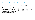In October, the report of the Pensions Commission made a number of recommendations that reflected Age Action's advocacy. The Pensions Commission recommended an increase in the pension age to 67 from 2028 and 68 from 2039; the delayed timeline for raising the pension age proposed by the Commission reflects the significant public support Age Action and the others involved in STOP67 experienced prior to the 2020 General Election. Age Action welcomes the recommendation to allow access to the full State Pension from age 65 to those who have already worked for 45 years or longer. We remain sceptical of the necessity of the proposal to increase the pension age as it is overshadowed by larger funding issues.

Age Action's advocacy reflected the recommendation to immediately implement benchmarking and indexation for future State Pension increases which would go some way to addressing income adequacy and security for those who depend on it. Age Action also welcomed the recognition in the recommendation that mandatory retirement ages in employment contracts should not end someone's employment earlier than the State Pension age.

In November Age Action appeared before the Joint Oireachtas Committee on Social Protection, Community and Rural Development and the Islands, along with the ESRI, to discuss the recommendations of the Pensions Commission report. Age Action continued to question the rationale for the increase in the pensions age arguing that there were alternative ways to sustain the pension as well as the need for the abolition of mandatory retirement clauses. In February 2022 the report of the Joint Oireachtas Committee broadly reflected Age Action's advocacy including to abolish mandatory retirement clauses, to maintain the pension age at 66 and to ensure gender equality in the State Pension system. If the Government accepts the recommendations of the Joint Committee, it would be a significant step towards a fairer pension system.

## **Advocating for Fair and Flexible Pensions for All**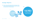

## **Strategic Objective**

**2.3 Create and provide opportunities for learning, with a focus on diversity and inclusion, that meet the needs and aspirations of all older people**



**KIT and COVID Tracker booklets distributed**

# **14,983**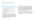### **Context**

### **Age Action's analysis is that there are four main reasons for older people not using the internet:**

- 1. Barriers in terms of accessibility for people with disabilities or learning difficulties
- 2. Barriers in terms of education and training to develop and maintain the necessary skills and confidence
- 3. Barriers in terms of income and the affordability of digital devices and internet connections
- 4. Some older people choose not to use the internet, which is a legitimate decision.

This analysis is supported by the 2021 Adult Literacy for Life Strategy which names the personal psychological experiences of of fear, shame and low confidence as barriers to digital literacy. Age Action developed our Getting Started KIT (GS KIT) programme as a remote learning initiative that supported people to learn in the way that suited them. This included remote tutoring, instructional videos, hardcopy "How to" guides posted to homes on request, and supporting digital champions.

### **Activity Spotlight 3**

In December 2020 Age Action collaborated with HSE to draft, test and produce a How to guide to support people to download and use the COVID Tracker application. Learning from our experience of our general hardcopy KIT booklet we set up and managed a phone service where older people could request a COVID Tracker booklet to be posted to their house free of charge. We collaborated with Age Friendly coordinators to distribute the booklets to 'hard-to-reach' older people, making the content available in libraries, shops and community centres. By the end of 2021 we had distributed a total of 13,433 hardcopy How to guides.

As a result of our work on the COVID Tracker app guide we were invited to join the COVID Tracker oversight group convened by the HSE and chaired by the Department of Health. Age Action's role on the group was to provide guidance, advice and cross sectoral knowledge in the ongoing operation and development of the app.

## **Digital Inclusion in Action**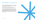

### **How We Work** – Getting Started

As part of our fight against digital exclusion, Age Action's Getting Started Computer Training programme delivers free training on computers, tablets and smartphones to people over the age of 55.

Since 2006 Age Action has trained more than 35,000 older people in 14 counties with the assistance of thousands of volunteer tutors.

The training usually takes place in small class groups and runs in libraries, community centres, schools, colleges, family resource centres, corporate offices, and housing complexes for older people. In response to COVID-19 Age Action developed the Keep In Touch (KIT). This remote national learning initiative helps older people improve their digital literacy skills, so they are more connected, informed and supported specifically during periods of social distancing.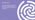

**Inform and influence policies and practice that give older people choice and control over their lives in later life.**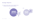## **Strategic Objective**

**3.1 Empower older people to be active digital citizens through advocacy and programme delivery**



# **560 updates issued**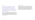### **Context**

**In response to the need for remote services Age Action had developed GS KIT in 2020. This remote learning initiative supported people to get online or use their smart device with confidence through remote tutoring, and self-learning tools such as How to guides and instructional videos.** 

The desire for remote learning, seen at the height of the pandemic, waned somewhat in 2021, with beneficiaries expressing the desire to to get back to social contact. Consequently, the demand for face-to-face classes continued to increase. In line with government restrictions Age Action could not reopen face-to-face classes until November. The demand continued and our waiting list grew to 3042 people.

### **Activity Spotlight 4**

The target group of GS KIT learners changed. Age Action noticed that people were completing the KIT course as a skills refresher before being placed on a face-to-face class. One consistent piece of feedback during 2021 was that five hours of tutoring was not enough. As a result, our tutors started to offer up to seven hours of tutoring remotely. While the annual number of learners decreased slightly from the previous year the feedback of those completing the course remained overwhelmingly positive.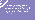**"Course was broad and useful. The fact that I was able to do Zoom calls with my coach via my wife's laptop was a huge help and made for better results. My trainer was very patient and explained everything very clearly. I would appreciate a follow up course in the autumn/winter."**

**Denis, a** *Getting Started* **course participant**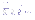### **3.2 Inform the development and implementation of public policy to advance digital literacy of older people**  $\blacksquare$

## **Strategic Objective**

**Internet Usage** 11% of adults in Ireland were not using the internet in 2020. **60-74 Age Cohort** 25% of people aged 60-74 are not using the internet



### **Internet Usage by Older People**



**75+ Age Cohort** 56% of people aged 75+ are not using the internet.



people over the age of 65 are not using the internet.

## **275,000**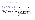### **Context**

**Age Action advocates for digital inclusion measures that include adequate supports for people to gain and develop digital skills, to afford access to digital devices and to have equitable access to services through offline channels.** 

While factors such as income and levels of education play a part, age is still the biggest indicator of who is digitally excluded. At least 466,000 people over the age of 65 experience digital exclusion in Ireland, meaning that they are not using the internet, or they lack the digital devices or necessary skills to navigate the internet safely, and therefore are limited in their ability to access public services online. Digital exclusion restricts people's access to their rights and affects their quality of life.

### **Activity Spotlight 5**

To mark International Day of Older Persons Age Action published and disseminated *Digital Inclusion and an Ageing Population* policy brief with the key message that 'digital first should not mean digital only'.

The brief presents data showing that two-thirds of older people are either not using the internet at all or else have below basic skills which requires a Government response to support more digital training as well as continued access to services through traditional channels.

A webinar *Digital Equity for All Ages. How Digital Inclusion Supports Equality and Rights of Older People* was hosted which included panelists from TASC, Solas and a human rights and equality expert from Values Lab who outlined the role of the Public Sector Equality and Human Rights Duty in supporting people who experience digital exclusion to access public services. The launch of the policy brief gained extensive media coverage including on three main news bulletins on RTÉ Television and News at One on RTÉ Radio 1.

The policy brief informs Age Action's stakeholder engagement including with Government officials, statutory bodies such as the Revenue Commissioners and National Driver Licence Service and organisations including the Irish Banking Culture Board and the Commission on the Regulation of Utilities.

## **Digital First Should Not Mean Digital Only**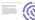- 
- 
- 



Our analysis of digital exclusion informed our input into the National Technical Advisory Group on the 10 Year Adult Literacy, Numeracy and Digital Literacy Strategy supporting the Adult Literacy for Life Strategy which, when published, recognised the specific needs of older people in terms of digital inclusion.

Age Action's advocacy for Budget 2022, *Addressing Inequalities* and *Realising Rights of Older People*, was also informed by our analysis and understanding of the barriers faced by people experiencing digital exclusion. Age Action advocated for continued investment in digital skills training, funding to maintain non digital pathways to access public services and the creation of a Communications Allowance to support digital access for people on lower incomes. Age Action welcomed the additional €3 million towards lifelong learning, especially literacy and digital literacy announced in Budget 2022. The National Digital Strategy's commitment to decrease the number of people digitally excluded to 20% over 5 years and to provide support for people to access public services via an 'assisted digital' proposal reflects Age Action's advocacy on the issue.

## **Digital First Should Not Mean Digital Only**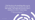

**"I find the drive to do everything online, e.g. tax returns and banking, most stressful and unfair to older people. I also regret that one has to have a smartphone to exist in Ireland today."**



**Respondent to** *The Lived Experience of Older People* **Survey for Budget 2022**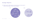## **Strategic Objective**

**3.4 Enable access for older people to services and resources they require to remain at home safely, in comfort and with dignity.**

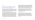### **Context**

### **Age Action's Care and Repair does small DIY jobs for older people to help them maintain their homes and their independence.**

Operating in Cork, Dublin and Galway, Care and Repair does jobs that might be more difficult to complete as we get older people but not big enough to call in a tradesperson. The service has been active since 2007, focusing on the cities of Dublin, Cork and Galway, but until 2021 had relied on corporate sponsorship and small grants to remain operational.

Age Action presented Care and Repair as a vital aspect of an integrated care and support programme for older people The objective of the HSE's Integrated Care Programme for Older Persons, or ICPOP programme, is to improve the quality of life for older people by providing access to integrated care and support that is planned around their needs and choices, supporting them to live well in their own homes and communities. Age Action Care and Repair demonstrates the social and economic benefits of supporting people to age in place in their home and community. In recognition of the value of Care and Repair, the HSE agreed to fund a pilot national roll out of

the programme for people exiting or preventing a hospital stay. Following extensive preparation, rebranding, and a model overhaul, Care and Repair launched its operational pilot in July 2021. Prioritising carrying out jobs in the homes of older people who are being discharged or have recently been discharged from hospital, if someone is coming out of hospital, no matter where they live, we support them to make sure their house is safe.

With the specific target group of the pilot we found that the average number of labour hours per client increased from 1.8 hours to 2.4 hours, with greater collaboration with HSE personnel, and ultimately more sustainable outcomes as our clients were integrated into a wider support model comprising health and supports.

### **Activity Spotlight 7**

An example of Care and Repair working collaboratively towards an integrated care model was when an Occupational Therapist contacted Age Action about a patient who had stepped on an exposed nail on her staircase, contracted sepsis and lost an eye. The patient had been in hospital and was now ready to return home. However, the exposed nails remained on her staircase and neither she nor the HSE had any means to remove them.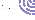



### Age Action's Care and Repair called and met the Occupational Therapist (O.T.) at the patient's house. They removed all of the exposed nails from the staircase to make it safe. During the visit, other issues were discovered such as missing light bulbs and trip hazards. These were all addressed to make the home safe for the patient's return.

This enabled the O.T. to secure funding for carpeting on the stairs and a Home Care Package including daily visits from HSE Home Support Services so the patient could be discharged into a safe environment.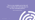

# **"This is a very valuable service that will help us organise safer discharge plans for our most vulnerable patients. "**

**Niamh, Occupational Therapist**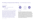**What community health services are available and how to access them is the most frequent query dealt with by the Age Action Information Service, which provides an empowerment pathway for older people and people supporting older people. Often people are trying to access a community health service for the first time at a time of crisis in their lives. The Information Service provides information about how and where to access services, supports and address discrimination.**

# **Case Study**

**Queries dealt with in 2021 Queries dealt with in 2020 1892 2709** Queries dealt with in 2020 Community Health

> *Sylvia is aged 76 and her husband Kevin is aged 80. Kevin had a minor stroke which led to a fall resulting in broken ribs which is restricting his mobility. Kevin is finding it difficult to get up, washed and dressed in the mornings. Sylvia is unable to assist him because she lost the use of her right*  arm following a stroke 2 years ago. Up to now, Kevin has been supporting *Sylvia. Kevin was released from hospital without a care plan in place for either of them. Sylvia contacted the Information Service to know what if any supports they might be able to access. The Information Service explained what a HSE home care package involves and how they might access it. The number for the Public Health Nurse in their area was given to the client as well as contact details for private home care providers in their area which could be accessed for a short period of time.*

# Providing an Empowerment Pathway – the Information Service

**Activity Spotlight 6**

**Top Issues**





**Fair Deal Scheme**

**9%**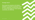

# **Strategic Goal 4**

**Ensure Age Action operates to the highest standards in its functions of advocacy, service provision, employment, and governance, and in a manner that engages our values explicitly, consistently, and coherently.**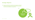# **Strategic Objective**

**4.3 Support and build the commitment and capacity of all staff to realise their potential and to make their full contribution to the work and ambitions of Age Action.**

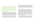## **Context**

**The national Volunteer Strategy, 2021-2025 states that 'Volunteering is inherently good for the individual, for the community and for the services that volunteering underpins. However, volunteering is not free, and investment is essential to creating a dynamic and thriving volunteering culture.'**

Volunteering is at the heart of our programmes and services at Age Action, supporting both Getting Started and Care and Repair. Our volunteer team support and train approximately 1000 volunteers annually. In recognition of the incredible difference volunteers make in the lives of those older people we serve, the volunteer team continually strive to improve the volunteer programme, ensuring internal processes align with international practice.

The Age Action volunteer team dedicated much of 2021 to augmenting the volunteer structures and processes so that each volunteer experiences a fulfilling and professional journey. We defined each stage of the journey,

### from recruitment and induction to communication and recognition. Through the lens of our value of professionalism we established best practice, initiating work on an online training platform, engaging with the CSR teams of national and international corporates to engage different demographics of volunteers, and developing a support, supervision and feedback practices.

# **Activity Spotlight 8**

In line with the *Investing in Volunteers* quality standard stating that 'Volunteers [should] feel supported at all times, that they are a part of the organisation and that their contribution makes a difference' Age Action put a focus on initiating a formal support stage of the volunteer journey. As part of this stage we initiated a monthly training and skills sharing session for all volunteers who wished to avail of it. Commencing in May 2021 we held seven monthly sessions for volunteers on the following topics: how to use Apple devices; how to use Zoom (basic and advanced); how to use Android devices; the Getting Started volunteer experience; programme specific training session; and celebrating Age Action volunteers. In total 249 volunteers attended these sessions.

We continue to build the support and supervision aspect of the volunteer journey in Age Action, with a commitment to launch an online learning platform in 2022 and increasing the mechanisms for support through monthly peer support sessions, an annual conference and recognition events.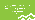

**"I thoroughly enjoyed my course. My tutor was kind considerate extremely patient. No questions were too basic or foolish. He made the learning very easy and enjoyable. He is an excellent teacher and very, very patient."**

**Mary,** *Getting Started* **participant**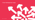

# **7. How We Raised Our Funds**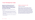**Age Action's fundraising works to secure sufficient levels of unrestricted funds annually to enable us to continue to deliver our advocacy, programmes, and services to older people across Ireland.** 

In line with Age Action's Strategic Plan, fundraising's key objectives in 2021 were to:

- Prioritise values-led and advocacy aligned ethical fundraising practices, adhering to the highest standards in raising funds from the public
- Achieve set targets by engaging stakeholders in our mission, including individual donors, corporates, trusts and foundations, community groups, and the Irish public
- Develop a diverse fundraising portfolio to minimise overdependence on any one funding stream.

# **Highlights and Achievements in 2021**

## **Compliance and Standards**

Age Action's complies with the Irish Charity Regulator's Guidelines for Charitable Organisations on Fundraising from the Public. In 2021 we established a Fundraising Committee to provide ongoing support and monitoring for fundraising. Chaired by a Board Director, the committee met eight times during the year. It prioritised aligning our fundraising activities with Age Action's core values and strategic objectives. Outputs included Age Action's Ethical Fundraising Policy and review process, a revised Donor Charter and a review of our compliance with the Charities Regulator code of conduct. As part of the organisation wide rebranding process we revised our corporate proposals and other pitches to ensure they were aligned with Age Action's values and philosophy. Work also commenced on developing Age Action's capacity for impact reporting in the fundraising area.

# **7. How We Raised Our Funds**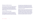## **Maintaining a diversified income base**

A priority in 2021 was to maintain and increase corporate and philanthropic giving, whilst developing and testing a diverse portfolio of new income streams. We began to test new income streams to engage support from new and diverse audiences, including implementing digital segments to all individual giving campaigns, and testing online public fundraising engagement through a Facebook fundraising campaign. Results from initial testing have been useful in determining the future potential and focus for Age Action's fundraising.

# **Corporate and Philanthropic Support**

Another objective in 2021 was to increase and enhance corporate and philanthropic engagement, prioritising alignment on Age Action's core values and strategic objectives. Based on historical giving from this key target audience, 2021 saw strong results with revenue exceeding targets by over €100,000. We closed out 2021 with donations from 55 corporates, trusts, and major donors, and a healthy pipeline to continue to develop new relationships in 2022. Corporate and philanthropic giving currently provides the highest ROI of all fundraising activity areas for Age Action and in 2021 this income stream comprised several major gifts and dozens of smaller donations. 42% of corporate/philanthropic donors in 2021 were newly acquired, with the remainder being established relationships that we carefully managed and stewarded.

Highlights from Corporates, Trusts, and Foundations in 2021 include; the agreement of generous funding and a two-year partnership with Movember; being chosen as a finalist in the National Lottery Good Causes Awards; being adopted as multi-annual Charity of the Year partner by Sky Ireland; receiving significant and valued donations from Barclays, the Selfridges Group Foundation, Woodies, Verizon, Bupa, and Cadburys; and the ongoing partnership and commitment of longstanding corporate and philanthropic supporters, such as ESB Energy for Generations, Community Foundation of Ireland, Dublin Bus, Gas Network Ireland, New Ireland Assurance, Ervia, Fidelity, VMware, Apple, Deloitte, Hibernia REIT, innocent, and Tesco.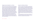## **Engaging Corporate Stakeholders in our Mission**

Age Action launched the BIG (Be Intergenerational) Corporate Challenge in March 2021. The aim of this six-month Corporate Social Responsibility (CSR) initiative was to encourage corporate teams to engage in intergenerational fundraising activities, whilst also raising awareness and understanding of ageism. Four corporate teams participated in the entirely virtual pilot year, reaching a combined target of over €40,000. Corporate staff attended three interactive touchpoints on Ageism, Age Action's advocacy approach, and Perceptions of Ageing in the Workplace, which received excellent review and testimony. Age Action and our panel of judges, comprising Ailbhe Smyth, Board Director, Paddy Connolly, CEO, Tomas Sercovich, CEO Business in the Community Ireland, and Jane McDaid, Founder and CEO of Thinkhouse, were impressed with the quality and variety of intergenerational fundraisers developed by corporates, which will serve as useful case studies for the future. The programme culminated in a virtual awards event in September, where all corporate teams, including Fidelity, VMware, Ervia, and Sky Ireland, were highly commended on their participation, innovation, and intergenerational engagement. The overall award went to Ervia, who integrated our intergenerational theme into their existing CSR objectives of biodiversity and sustainability to develop their winning "Strong Roots, Green Shoots" fundraising programme.

### **Support from Individuals and Families**

In early 2021 we completed a data and digital audit to provide insight and analysis on our donor base to inform strategies and campaigns. We set a target of increasing support from individuals and families, who generously support our work through regular postal and online appeals, raffles, regular giving by direct debit, and legacy gifts. At the end of the year, we exceeded this target by recruiting over 750 new supporters. Customer Relationship Management (CRM) capacity was enhanced to provide more accurate reporting and analysis for fundraising and enable us to monitor and evaluate progress against strategic objectives and targets as well as gain valuable insights from our donors and supporters. Fundraising communications, including digital communications, were enhanced through staff training and development, utilising low-cost platforms and software tools, and close collaboration with Advocacy and Communications on strategic priorities and themes.

Tax-efficient giving enables us to increase the value of every donation over the value of €250 by almost 50% and we are grateful to all our donors who assisted us by increasing their donation or regular gift to exceed this threshold and by completing and returning relevant forms.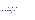Legacy income is of immense importance to Age Action, as it enables us to continue to work towards a more equal and inclusive future for all of us as we age in Ireland. We are extremely grateful to all those who choose to remember Age Action in their wills and would like to highlight the vital role legacy gifts have made to our organisation, particularly with the challenging times faced in recent years. In 2021, this amounted to .

# **Community Support**

Although ongoing restrictions continued to impact capacity for community fundraising, we are really grateful to those groups, schools, and colleges who found creative ways to support us in 2021. Particular thanks must go to the hundreds of knitters all around Ireland who are working towards a target of knitting 100,000 tiny hats for the innocent Big Knit 2021/22. This campaign is one of Age Action's longest running fundraisers, generating vital funds and awareness for our work, and we are always inspired by the creativity and commitment of everyone involved.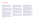# **8. Our Board**

**Michael Ahern (Chair)** is the CEO of Dubco Ireland Credit Union and a member of the Credit Union Advisory Committee that advises the Minister for Finance with respect to the Credit Union sector.

**Anne Donnellan** worked with the Department of Education and Skills in the delivery of an education service to marginalised Traveller learners in Galway and South Mayo before retirement. She holds a degree in Education B.Ed., Law LL.B. and a LLM in Human Rights Law.

**Tony Kehoe** holds a M.Sc. Eng from Trinity College Dublin and an M.Sc. in Sustainable Energy from UCC. He is now retired but during his career he held many roles from Plant Manager through Operations Director to CEO. He is an active volunteer with Age Action's Care & Repair service.

**Pat McCormack** is the Head of Wealth Management with Barclays Ireland and a member of the Executive Committee of Barclays Bank Ireland PLC.

**Ray McGrath** is a former teacher and college principal and lecturer in Lifelong Learning at WIT. He is a member of Waterford Council for Older People and the Waterford PPN Environmental Linkage Group.

**Justin Moran** is Head of Public Affairs with the Irish Wind Energy Association and former Head of Advocacy and Communications with Age Action.

**Susanne Moran** has extensive risk management experience and works in the banking sector.

**Tonya Myles** is a General Manager of Cairde and holds a MA in Digital Media, a MA in Journalism and a Professional Diploma in Human Rights and Equality.

**Colm Nagle (Treasurer)** is non-executive Chairman of a number of owner-managed businesses and is a Fellow of the Institute of Chartered Accountants in Ireland.

#### **Ciara O'Donoghue (Company Secretary)**

is a Director with Legal Services, KPMG Ireland and a Fellow of the Chartered Governance Institute.

**Dermot O'Riordan** specialises in corporate governance, risk management, assurance and financial management in the public and not for profit sectors. Dermot is a member of Institute of Directors in Ireland and a Fellow of the Association of Chartered Certified Accountants.

**Ailbhe Smyth** is a long-time campaigner on feminist, LGBT and other social issues and was Co-Director of the Together for Yes campaign to repeal the 8th Amendment. Ailbhe is the former founding head of Women's Studies at UCD.

**Robin Webster** is an Adjunct Lecturer at the Irish Centre for Social Gerontology, NUIG. Previously he was one of the founders of Age Action and its first Chief Executive from 1992 to 2015.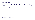| <b>Board member</b>                    | 22 Jan         | <b>12 Mar</b>              | 30 Apr    | 18 Jun    | <b>06 Aug</b> | <b>15 Oct</b> | <b>12 Nov</b> | 17 Dec       |        |
|----------------------------------------|----------------|----------------------------|-----------|-----------|---------------|---------------|---------------|--------------|--------|
| Michael Ahern (Chair)                  | <b>College</b> |                            | $\bullet$ | $\bullet$ | $\bullet$     | $\bullet$     | $\bullet$     | $\bullet$    | 6 of 6 |
| Ciara O'Donoghue* (Company Secretary)  | $\frac{1}{2}$  | $\mathcal{L}_{\text{max}}$ | $\bullet$ | $\bullet$ | $\bullet$     | X             | $\mathbf{X}$  | $\mathbf{X}$ | 3 of 6 |
| Colm Nagle (Interim Chair & Treasurer) | $\bullet$      | $\bullet$                  | $\bullet$ | $\bullet$ | $\bullet$     | $\bullet$     | $\bullet$     | $\bullet$    | 8 of 8 |
| <b>Justin Moran</b>                    | $\bullet$      | $\bullet$                  | $\bullet$ | $\bullet$ | $\mathbf{X}$  | $\bullet$     | $\mathbf{X}$  | $\bullet$    | 6 of 8 |
| <b>Ray McGrath</b>                     | $\bullet$      | $\bullet$                  | $\bullet$ | $\bullet$ | $\bullet$     | $\bullet$     | $\bullet$     | $\bullet$    | 8 of 8 |
| Ailbhe Smyth (Interim Comp Sec)        | $\bullet$      | $\bullet$                  | $\bullet$ | $\bullet$ | $\bullet$     | $\bullet$     | X             | X            | 6 of 8 |
| <b>Tonya Myles</b>                     | X              | $\bullet$                  | $\bullet$ | X         | $\bullet$     | $\bullet$     | $\bullet$     | $\bullet$    | 6 of 8 |
| <b>Tony Kehoe</b>                      | $\bullet$      |                            |           |           |               |               |               |              | 8 of 8 |
| <b>Susanne Moran</b>                   | $\bullet$      | $\bullet$                  |           |           | X             |               |               |              | 7 of 8 |
| <b>Pat McCormack</b>                   | $\bullet$      |                            |           |           |               |               |               |              | 8 of 8 |
| Dermot O'Riordan                       |                |                            |           |           |               |               |               |              | 6 of 6 |
| <b>Anne Donnellan</b>                  |                |                            |           |           |               |               |               |              | 3 of 3 |

# **Attendance at Board Meetings**

– Not appointed a Board member at the time of meeting \* Temporary leave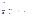# **Committees**

#### **Governance & Risk Committee – Met 6 times**

| Susanne Moran (Chair)   | <b>Board Member</b>                                                         |
|-------------------------|-----------------------------------------------------------------------------|
| Ciara O'Donoghue        | <b>Company Secretary &amp; Board Member</b>                                 |
| Dermot O'Riordan        | <b>Board Member</b>                                                         |
| <b>Niall Fitzgerald</b> | Non-Board Member, Head of Ethics &<br><b>Governance Accountancy Ireland</b> |
| <b>Edel Murphy</b>      | Non-Board Member, Risk and Compliance<br>Manager, Vodafone                  |
| <b>Fergus McDonald</b>  | Non-Board Member, retired Bank of Ireland                                   |
| <b>Attending</b>        |                                                                             |
| <b>Paddy Connolly</b>   | <b>Chief Executive</b>                                                      |
| <b>Mary Hamoodi</b>     | <b>Head of Finance</b>                                                      |
| Jennifer Coen           | Head of Admin & HR                                                          |

#### **Finance and Audit Committee – Met 8 times**

| Colm Nagle (Chair)    | <b>Board Member, Treasurer</b>        |
|-----------------------|---------------------------------------|
| Pat McCormack         | <b>Board member</b>                   |
| Dermot O'Riordan      | <b>Board Member</b>                   |
| <b>David Frame</b>    | Non-Board member, Key Capital Private |
| <b>Attending</b>      |                                       |
| <b>Paddy Connolly</b> | <b>Chief Executive</b>                |
| <b>Mary Hamoodi</b>   | <b>Head of Finance</b>                |
|                       |                                       |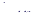# **Committees**

### **Nominations and AGM Committee – Met once**

### **Membership**

| <b>Colm Nagle</b>    | <b>Board Member</b> |
|----------------------|---------------------|
| Justin Moran (Chair) | <b>Board Member</b> |
| <b>Ray McGrath</b>   | <b>Board Member</b> |

### **Fundraising Committee – Met 8 times**

| Membership                |                                                             |
|---------------------------|-------------------------------------------------------------|
| Ailbhe Smyth (Chair)      | <b>Board Member</b>                                         |
| Marie McQuaid             | Non-Board Member, Fundraising Consultant                    |
| <b>Attending</b>          |                                                             |
| <b>Paddy Connolly</b>     | <b>Chief Executive</b>                                      |
| <b>Caroline O'Connell</b> | <b>Head of Fundraising</b>                                  |
| <b>Celine Clarke</b>      | <b>Head of Advocacy &amp; Communications</b>                |
| <b>Cat Clark</b>          | <b>Development Officer (Fundraising</b><br>& Digital Comms) |
| Melanie Steinhardt        | Corporate Partnerships & Philanthropy<br>Manager            |
|                           |                                                             |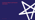

# **9. Directors Report and Financial Information**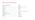# **Reference and Administration**

# **Directors at 31 December 2021**

| Michael Ahern (Chair)                |
|--------------------------------------|
| <b>Tony Kehoe</b>                    |
| <b>Pat McCormack</b>                 |
| <b>Ray McGrath</b>                   |
| <b>Justin Moran</b>                  |
| <b>Susanne Moran</b>                 |
| <b>Tonya Myles</b>                   |
| <b>Colm Nagle (Treasurer)</b>        |
| Ciara O'Donoghue (Company Secretary) |
| Dermot O'Riordan                     |
| Ailbhe Smyth                         |
| <b>Robin Webster</b>                 |

# **Auditors**

Mazars Chartered Accountants & Statutory Audit Firm Harcourt Centre Block 3 Harcourt Road Dublin 2

# **Solicitors**

Ken Kennedy Solicitors (incorporating P.J. Walsh & Co.)

# **Bankers**

Permanent TSB 70 Grafton Street Dublin 2

Bank of Ireland 1 Rathfarnham Road Terenure, Dublin 6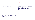# **Registered Office**

Age Action Ireland is a company limited by guarantee. Registered in Dublin, Ireland, no 198751

Incorporated 2nd Feb 1993

Charity Registration No. 10583

Revenue Charitable Status Number 20027254

# **Vision**

For a society that enables all older people to participate and to live full, independent lives.

# **Mission**

Age Action aims to achieve fundamental change in the lives of all older people by empowering them to live full lives as actively engaged citizens and to secure their rights to comprehensive high-quality services according to their changing needs.

# **Values-Led**

Age Action's work is driven by an organisation that is professional in its operations and lives out its values of dignity, participation, diversity, social justice, and professionalism.

# **Principal activities and business review**

The principal activities of the organisation consist of working, together with a broad range of stakeholders, with ageing and older people, promoting better policies and services for older people, the carers of older people and providing services and supports which meet older person's needs.

The main areas of attention are the development of the company's existing activities, securing adequate financial and human resources to make these sustainable, and achieving the highest standards of corporate governance.

# **Directors Report**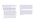Age Action's strategy 2021-2023, Towards Equality for All As We Age identifies four strategic goals. You can find detailed description on how Age Action worked to achieve these goals on pages 7 – 11. The key achievements under each goal in the 2021 reporting period are:

- **1. Engage stakeholders including Government, the wider community, and older people themselves to challenge ageism in laws, policies, systems and communities to guarantee equality and rights for all of us as we age.**
	- Published and disseminated the policy briefing, Ageism and Age Equality – Implementing the WHO Global Report on Ageism in September 2021 which provides context for the UN Global Report on Ageism's findings to an Irish audience, highlighting the reality of ageism in Ireland and the need for decisive action from Government, business and society to address ageism. The policy brief has informed stakeholder engagement on ageism including meetings with public representatives and officials, media and submissions such as to the Minister for Children, Equality, Integration, Disability and Youth on Review of the Equality Acts in December 2021.
	- Successfully convened Positive Ageing Week 2021 on the theme of Ageism – Reconnecting Communities by Reframing Ageing. An information pack, designed to support people to understand and

challenge ageism, was published, and disseminated to participant groups. There were 88 events registered on Age Action's refreshed website - www.positiveageingweek.com - which is a 5% increase on 2020. The events held during positive ageing week were convened by a range of stakeholders including the HSE, community groups, special interest groups, corporate bodies and academic institutions. There was broad media coverage across regional and national outlets including the main news on RTÉ One on International Day of Older Persons.

— Age Action continued to be recognised as a credible voice on issues to address ageism and inequalities experienced by older persons as evidenced by the appointment to bodies leading on public policy formation including the HSE led interRai Project Working Group, Advisory Group on Recommendations on ICT Enablement of Older Persons Services, Programme Board of the National Nursing Home Survey, the Technical Advisory Committee of the Adult Literacy, Numeracy and Digital Literacy Strategy and the Advisory Forum of Creating our Future.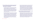## **2. Inform and influence policies and practice to give income security and economic opportunities that uphold older people's dignity and independence.**

- Successfully advocated for the report of the Pension Commission to include recommendations to end mandatory retirement clauses before pension eligibility and implement benchmarking and indexation for future State Pension increases. Age Action's work on pension reform led to an appearance before the Joint Oireachtas Committee on Social Protection, Community and Rural Development and the Islands. The Committee supported Age Action's call that the pension age should remain at 66 and mandatory retirement clauses should be abolished
- Successfully advocated for measures to address income inequalities experienced by older people in Budget 2022. Age Action conducted a survey of older stakeholders, - Lived Experience of Older People 2021, in line with the organisation's value of participation, which informed the Pre-Budget Submissions to Government departments and engagement with public representatives and officials. Measures secured include an increase in the rate of the State Pension, an expansion of the eligibility criteria and an increase in the rate of the Fuel Allowance and increased investment in life-long learning including digital literacy

### — Age Action Getting Started programme continued to deliver digital skills training throughout COVID-19 reaching 498 people which, although is 11% less than 2020, is a significant achievement given COVID-19 public health restrictions. The Movember Foundation awarded funding for research and development of a digital skills curriculum specifically for older men living in rural Ireland which will be delivered in 2023. To enable older people experiencing digital exclusion to access e-health services Age Action collaborated with the HSE to develop a Getting Started KIT guide explain the COVID Tracker App - 13,930 hardcopy guides were distributed.

## **3. Inform and influence policies and practice that give people choice and control over their lives in later life.**

— Published and disseminated a policy brief, Digital Inclusion and an Ageing Population. The brief presents data showing that two-thirds of older people are either not using the internet at all or else have below basic skills. The policy brief informs Age Action's stakeholder engagement with public representatives and statutory bodies including the National Technical Advisory Group on the 10 Year Adult Literacy, Numeracy and Digital Literacy Strategy supporting the Adult Literacy for Life Strategy which recognises the specific needs of older people in terms of digital inclusion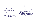- In recognition of the value of Age Action Care and Repair, the HSE committed funding for a pilot national roll out of Care and Repair for people exiting or preventing a hospital stay thereby expanding Age Action's capacity to support older people to age in place
- Age Action maintained the organisation's position in relevant fora to raise older persons issues including Age Friendly Ireland NGO Forum, Commission on the Regulations of Utilities Consumer Stakeholder Forum, Community and Voluntary Pillar, National Advisory Council for Online Safety and the National Advisory Committee of Safeguarding Ireland as well as participating in the National Economic Dialogue.
- **4. Ensure Age Action operates to the highest standards in its functions of advocacy, service provision, employment, and governance, and in a manner that engages our values explicitly, consistently, and coherently**
	- The staff Values Committee implemented a number of actions in response to the results of a baseline values survey of staff, including Quarterly All Staff Values Meetings and a bi-monthly Values Bulletin. The survey was repeated 8 months later which showed an improvement of 6.2 on the aggregate average score from

### the baseline survey demonstrating good progress in embedding the values in the culture and practice of Age Action.

- Aligned to the organisational value of Professionalism, Age Action successfully rebranded to better reflect the values and purpose of the organisation which are grounded in the pursuit of equality and human rights for all of us as we age. A Brand Ambassador team, drawn from staff in each department, was appointed to support the accuracy and consistency across the use of the brand identity and brand approval process was put in place to protect the identity
- Aligned to the organisational value of Social Justice, Age Action realigned the team structure of the Getting Started and Care and Repair services to facilitate a national reach to better meet the needs of older people
- Supporting the organisational values of Professionalism and Dignity, Age Action initiated a Volunteering international accreditation process (to be completed in 2022) and commenced development of an online learning platform for volunteers. In 2021 alone 1,099 new volunteers joined Age Action to support the work of our Getting Started and Care and Repair areas.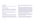# **Financial Review**

The financial results for the year are set out in the Statement of Financial Activities below.

# **Financial Management**

Age Action has a core operating deficit, which it has been progressively addressing over the past three years. A number of cost savings measures were undertaken in 2019, 2020 and 2021. These have been reported on previously.

Surpluses achieved in 2020 and 2021 were due mainly to a series of bequests, cost-cutting measures and the sale of Age Action's charity shops.

# **Reserves Policy**

In 2021 the Board of Age Action agreed a new reserves policy. This policy establishes an Operating Reserve, a Special Reserve and a General Fund.

closure of the organisation. The Operating Reserve is not intended to replace a permanent loss of funds or to eliminate any current year budget gaps.

The minimum amount to be designated as an Operating Reserve will be established as an amount sufficient to maintain ongoing operations and the work of the organisation for a set period of time, which will be reviewed and adjusted by the Board in response to internal and external changes. The amount to maintain ongoing operations is equal to six months of average monthly operating costs. The calculation of average monthly operating costs includes all recurring, predictable expenses such as salaries, pensions and other benefits, rent/rates, office costs, travel expenses, operational and other regular costs. The calculation of average monthly expenses may also include some smaller, one-off, capital purchases. Depreciation and other non-cash expenses are not included in the calculation.

An Operating Reserve is set aside by the Board to provide an internal source of funds for situations such as a sudden and large increase in expenses, unanticipated loss of revenue, or any expenditure associated with unplanned A General Fund consists of funds which are not assigned to a specific purpose. They are unrestricted and may be used to further the charity's purposes, for the day-to-day activities of the charity and to pay for

A Special Reserve will be established for large donation/bequests, over €100,000, received by Age Action which do not have restrictions as to their use. The Special Reserve is available to support the Operating Reserve or General Fund as decided by the Board.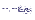administrative and operating expenses that are not covered by restricted income or grants received.

## *Age Action Total Funds*

Currently the total funds of Age Action are split in its Balance Sheet between Unrestricted Funds and Restricted Funds as of December 31st 2021 these were:

| <b>Total Funds</b>      | €1,710,271 |
|-------------------------|------------|
| <b>Restricted funds</b> | €22,373    |
| Unrestricted funds      | €1,687,898 |

### *Age Action Reserves 2021*

Based on the December 31st, 2021 Balance Sheet, the Unrestricted Funds to be considered as reserves for this purpose of this policy, taking account of the Tangible Fixed Assets valued at €22,078, are €1,665,820.

## **Statutory funding**

In 2020 the Board set itself a target of achieving increased statutory funding for Age Action's Care & Repair service. This was achieved in 2021 and again in 2022.

While this is an important development, Age Action impressed upon the HSE that there remains a deficit in Age Action's core funding needs, to cover general head office overheads and other core operational costs.

The HSE informed Age Action that it had secured no additional funding from the exchequer to meet this need. The HSE also noted, regarding the additional monies provided for Care & Repair, that this service is not a core 'health & social service'. The Board recognises that this additional funding remains uncertain going forward.

Age Action achieved a surplus of €328,551 for 2021 and ended the year with a strong cash reserves position.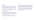# **Fundraising**

Independent fundraising efforts reached the target set at the beginning of the year, achieving a surplus, after costs, of €404,302. A number of bequests amounting to €162,000 and a once-off corporate donation of €164,000 from Barclays Bank supported the positive end-of-year result.

The Board continues to prioritise Age Action's long-term financial stability. At the end of 2021, as part of the budgeting process for 2022, the Board initiated a further series of cost saving measures.

# **Future Developments**

The Board committed to utilise reserves to support the organisation to develop new opportunities. In addition to actively managing the cost base, the Board initiated discussions with other organisations in the older persons sector with a view to closer collaboration, or potential merger, that might reduce costs and improve efficiencies.

Age Action seeks to develop strategic partnerships, which will advance its primary objectives, whilst also supporting its future sustainability.

Age Action emerged from the period of the Covid-19 pandemic in a stronger financial position due to an increase in fundraised income and bequests. Despite this, as an advocacy organisation, Age Action continues to face the challenge of securing stable and sustainable levels of income. Age Action's core objectives, in pursuit of equality for all older people, remain unchanged.

The Board's focus in the months ahead and into 2023 will be to develop a financially sustainable organisation model. The Board recognises that this is critical to enabling Age Action to advocate for progressive change in the lives of older people in Ireland.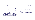# **Our strategic and operational focus for the period ahead will be in three areas;**

- **1. Ageing in Place:** This includes a services element, the development of our Care & Repair service, and a policy element, increased advocacy for a statutory homecare scheme, to enable older people to age well at home and close to their community. The Care & Repair service, subject to available funding, will be expanded across a number of HSE areas. The HSE have also requested that Age Action scope the possibility of broadening the service to include domestic supports. This scoping will be concluded in 2022. and service design. At the end of 2021 the Board committed to commencing a strategic planning process to produce Age Action's Strategic Plan 2024 – 2026. The strategic planning process, which is being led by the Board and CEO, has three elements:
- **2. Digital Inclusion:** The pandemic highlighted the growing phenomenon of digital exclusion of vulnerable groups, particularly older people. Age Action has developed an innovative programme to support older people to get online. Age Action will engage in further research and development to ensure that its digital inclusion programme aligns with the Government's digital literacy strategy. Age Action will seek funding to grow this innovation and will seek to ensure that digital inclusion measures, aimed at older people, are developed to a high standard, adopt best practice approaches, and, where possible, can achieve accreditation.

**3. Participation and Voice of Older People** in the decisions that impact their lives remains a strategic priority for Age Action. In 2022 Age Action hopes to partner with other organisations in the older persons sector to build greater participation of older people in policy making

- An internal review of its strengths, weaknesses, opportunities and threats (SWOT).
- An external review, involving interviewing a number of external stakeholders
- An independent review of fundraising and income generation.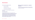**The review has four strategic priority areas:**

- Advocacy & Campaigns
- Programmes and Services
- Income Generation and Sustainability
- Good Governance and Administration.

The Board expects to publish its Strategic Plan 2023-2026 after Summer 2023.

# **Accounting records**

The measures taken by the directors to secure compliance with the requirements of Sections 281 to 285 of the Companies Act 2014 with regard to the keeping of accounting records are the implementation of necessary policies and procedures for recording transactions, the employment of competent accounting personnel with appropriate expertise and the provision of adequate resources to the financial function. The company's accounting records are maintained at the company's registered office at 30/31 Lower Camden St, Dublin 2, D02 EC96.

# **Directors and dates of appointment or resignation during 2021**

The names of the persons who served as Directors at any time during the year are set out on the following page. Other than as indicated they served as Directors for the entire year.

# **Governance**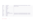| 27 May 2021                                                             |  |
|-------------------------------------------------------------------------|--|
|                                                                         |  |
|                                                                         |  |
|                                                                         |  |
|                                                                         |  |
|                                                                         |  |
|                                                                         |  |
|                                                                         |  |
|                                                                         |  |
|                                                                         |  |
| by Board – 30 April 2021. Retired & Re-elected by Members - 27 May 2021 |  |
| by Board – 30 April 2021. Retired & Re-elected by Members - 27 May 2021 |  |

| Michael | Ahern (Chair)                  | Appointed by Board - 30 April 2021. Retired & Re-elected by Members - 27 May 2021 |
|---------|--------------------------------|-----------------------------------------------------------------------------------|
| Anne    | Donnellan                      | Resigned - 27 May 2021                                                            |
| Tony    | Kehoe                          |                                                                                   |
| Pat     | McCormack                      |                                                                                   |
| Ray     | <b>McGrath</b>                 |                                                                                   |
| Justin  | Moran                          |                                                                                   |
| Susanne | Moran                          |                                                                                   |
| Tonya   | <b>Myles</b>                   |                                                                                   |
| Colm    | Nagle (Treasurer)              |                                                                                   |
| Ciara   | O'Donoghue (Company Secretary) | Appointed by Board - 30 April 2021. Retired & Re-elected by Members - 27 May 2021 |
| Dermot  | O'Riordan                      | Appointed by Board - 30 April 2021. Retired & Re-elected by Members - 27 May 2021 |
| Ailbhe  | Smyth                          |                                                                                   |
| Robin   | Webster                        |                                                                                   |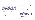# **The Board**

Age Action is governed by an independent, voluntary Board of Directors, who are responsible for the overall governance and strategic direction of the organisation, with operational responsibility delegated to our CEO (Chief Executive Officer). The roles and responsibilities of the Board and CEO and powers reserved for the Board are set out in our policy documents. The Board of Age Action meets at least six times per annum. In 2021 it utilised the services of Boardmatch to identify and recruit new members. A new Chairperson was recruited and three new members joined.

The Board supported the work of the various board committees and maintained the momentum regarding progressively strengthening Age Action's governance and accountability practices and standards. The committee actions adopted by the Board are noted under each committee heading.

In addition to the outcomes reported by Board committees, the Board focused on developing its own capacity, and strengthening its oversight role. Board meeting highlights in 2021 include:

— In April the Board received an input on responsibility of Board members regarding risk oversight

#### — In June the Board reviewed Age Action's portfolio of documents which underpin the organisation's compliance with the Charities Governance Code and drafted a compliance statement

- In June the Board also reviewed the legal obligations of directors regarding the Charities Governance Code
- In August the Board received inputs on the role of Age Action as a Human Rights and equality advocacy organisation
- In September the Board held a facilitated board development day to explore the role of the Board and plan further development days
- In October the Board adopted an open and transparent remuneration policy, which sets out pay bands and the basis on which salary increases are considered. Each staff member receives an annual statement which shows their salary and other benefits
- In October the Board adopted a CEO Succession policy and a detailed succession plan
- In October the Board signed-off on a 'right to disconnect policy' Iin the context of increased remote working.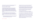The Board maintains a register of board member governance training and Board members are regularly informed of training opportunities.

# **Governance & Risk Committee**

The Governance & Risk Committee comprises of three board members, including the Company Secretary, and three non-board independent members. The CEO, Head of Finance and Head of Administration & HR also attend. The committee is responsible for oversight of Age Action's governance, risk management & assurance and regulatory compliance processes. The committee advises the Board on actions required in these areas and appraises the Board of any current risks and necessary mitigation measures.

The committee appraised the Board of the principal risks in 2021. These were financial sustainability and over-reliance on once-off bequests; board and CEO succession planning; an under-

The committee is required to meet a minimum of four times per year under its terms of reference but opts to meet more frequently. It convenes in advance of each Board meeting and reviews the risk register before submission to the Board. Key actions undertaken by the committee in 2021 include:

- The committee supported the Board to address these risks, including the drafting and adoption by the Board of a CEO succession policy and plan, the prioritising of securing additional funding from the HSE, and the ending of some fundraising activities where risk was identified
- The committee continued the 2020 process of implementing the findings of an independent review of Age Action's governance framework and associated documents
- The committee oversaw the commissioning of risk management software (Redflare) and the migration away form a paper-based system
- As part of this process, the committee drafted a risk appetite statement for the organisation and a corresponding rating score for each risk area.
- The Redflare programme provides an automated system for prompting risk managers to assess and review risks. It can also produce a variety of reports, providing real-time risk analysis for the committee and board to review
	- The committee initiated regular liaison between board committee chairs, to ensure sharing of relevant information and comprehensive organisation oversight at board level

## representation of statutory income in Age Action's funding mix; and reputational risk due to some elements of the fundraising model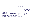### — The Chair of the committee liaised regularly with the Chair of the Finance & Audit committee, and one member of the Board sits on both the Finance & Audit Committee and the Governance & Risk Committee

- The committee supported the Board to review Age Action's compliance with Charities Governance
- The Chair of the committee provided a Risk Appreciation briefing to the Board. The Board is also advised of additional training opportunities in the governance, risk and finance areas
- Further demonstrating Age Actions commitment to governance the organisation entered the 2021 Good Governance Awards. The feedback received from the awards process has been incorporated into the Annual Report 2021.

Age Action continues to be compliant with the Charities Governance Code and is ready to undertake the necessary formal reporting to the regulator.

As an additional act of risk oversight, on the occasions that Age Action observes media coverage regarding governance issues in other charities, the CEO and Head of Finance assess Age Action's standards against the detail in the media coverage. This is also reported to the Governance and Risk Committee.

## **Membership**

| <b>Susanne Moran (Chair)</b> | <b>Board Member</b>                                                         |
|------------------------------|-----------------------------------------------------------------------------|
| Ciara O'Donoghue             | <b>Company Secretary &amp; Board Member</b>                                 |
| Dermot O'Riordan             | <b>Board Member</b>                                                         |
| <b>Niall Fitzgerald</b>      | Non-Board Member, Head of Ethics &<br><b>Governance Accountancy Ireland</b> |
| <b>Edel Murphy</b>           | Non-Board Member, Risk and Compliance<br>Manager, Vodafone                  |
| <b>Fergus McDonald</b>       | Non-Board Member, retired BOI                                               |
| <b>Attending</b>             |                                                                             |
| <b>Paddy Connolly</b>        | <b>Chief Executive</b>                                                      |
| Mary Hamoodi                 | <b>Head of Finance</b>                                                      |
| Jennifer Coen                | Head of Admin & HR                                                          |
|                              |                                                                             |

Met 6 times in 2021.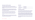# **Nominations & AGM Committee**

The nominations committee meets at least three times a year and is comprised of the Chairperson, Secretary, Treasurer, Chair of the Governance & Risk Committee and ordinary Board members, one of whom is Chair of the committee.

The committee oversees board recruitment. There were three new board members appointed in 2021. A forward-planning schedule of board member's expected resignations was developed in 2021 to enable the committee to ensure timely succession planning.

The committee will commence a process of formal board review and evaluation in 2022. In particular, the committee has identified board diversity, to reflect the diversity of older people in Ireland, as a priority.

The committee in 2021 also set a process for board recruitment and induction.

Due to a change of Chairperson and successful board recruitment in 2021, the committee met only once. The committee reconvened in early 2022 and will meet at least twice yearly going forward.

## **Membership**

| <b>Colm Nagle</b>    | <b>Board Member</b> |
|----------------------|---------------------|
| Justin Moran (Chair) | <b>Board Member</b> |
| <b>Ray McGrath</b>   | <b>Board Member</b> |

# **Fundraising committee**

Age Action established a Fundraising Committee in 2021. It is chaired by a board member and is attended by the CEO, Head of Fundraising, Head of Advocacy & Communications and other fundraising staff as required.

Age Action is dedicated to achieving the highest standards and best practice in fundraising. We are fully committed to achieving the standards contained within the Guidelines for Charitable Organisations on Fundraising from the Public. In 2021 the committee prioritised reviewing Age Action's fundraising standards and compliance with codes of conduct for fundraising.

The committee established a process of ethical review in advance of Age Action accepting grants or donations from corporate bodies. Key actions in 2021 include: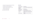- Development of Fundraising Committee terms of reference
- Development of an Ethical Fundraising Policy
- Oversight of the Ethical Fundraising Review process
- Drafting of a revised donor charter
- End of year fundraising analysis.

The Committee met 8 times in 2021.

# **Membership**

| Ailbhe Smyth (Chair)      | <b>Board Member</b>                                         |
|---------------------------|-------------------------------------------------------------|
| <b>Marie McQuaid</b>      | <b>Non-Board Member, Fundraising Consultant</b>             |
| <b>Attending</b>          |                                                             |
| <b>Paddy Connolly</b>     | <b>Chief Executive</b>                                      |
| <b>Caroline O'Connell</b> | <b>Head of Fundraising</b>                                  |
| <b>Celine Clarke</b>      | <b>Head of Advocacy &amp; Communications</b>                |
| <b>Cat Clark</b>          | Development Officer (Fundraising & Digital<br>Comms)        |
| Melanie Steinhardt        | <b>Corporate Partnerships &amp; Philanthropy</b><br>Manager |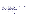The Finance and Audit Committee of Age Action oversees the Board's responsibility for preparing the directors' report and the financial statements in accordance with applicable Irish law and regulations. The financial statements and annual reports are prepared in accordance with Charity SORP standards (Statement of Recommended Practice). The financial accounts are independently audited each year and audited accounts are filed with the Companies Registration Office and submitted to the Charities Regulator. In 2021 the committee supported the CEO to continue corrective actions aimed at ensuring Age Action has a sustainable cost base. Highlights in 2021 include; the presentation of a remuneration policy to the Board

# **Finance & Audit Committee**

The committee comprises of three board members and an independent member who is not associated with the Board. The CEO and Head of Finance also attend the committee.

The committee meets prior to each board meeting and considers management accounts prior to their presentation to the Board. The committee considers the financial year-to-date, budget compliance, cash flow, fundraising income and any financial risks. All finance documents and minutes are uploaded to a board portal on sharepoint, where each board member has access.

#### The committee also oversees the budgetary process, which is carried out by the executive.

- 
- the drafting of a reserves policy
- overseeing of independent audit.

The committee is satisfied that the organisation continues to achieve clean audits with no material issues noted in the management letter.

In late 2021 the committee drafted a tender document for the commissioning of an independent review of internal financial controls. This review was conducted in early 2022.

The Committee met 8 times in 2021.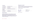### **Membership**

| <b>Colm Nagle (Chair</b> | <b>Board Member, Treasurer</b>       |
|--------------------------|--------------------------------------|
| Pat McCormack            | <b>Board member</b>                  |
| Dermot O'Riordan         | <b>Board Member</b>                  |
| <b>David Frame</b>       | Non-Board member Key Capital Private |
| <b>Attending</b>         |                                      |
| <b>Paddy Connolly</b>    | <b>Chief Executive</b>               |
| Mary Hamoodi             | Head of Finance.                     |

# **Internal Controls**

The Directors acknowledge their overall responsibility for the company's systems of internal control and for reviewing its effectiveness. They have delegated responsibility for the implementation of this system to the executive management. This system includes financial controls, which enable the Board to meet its responsibilities for the integrity and accuracy of the company's accounting records.

# **Management and staff**

The Directors acknowledge with appreciation the ongoing committed work and support of the staff. The success and achievements of the work of the organisation is due to their dedication and contribution.

On behalf of the Board:

**Colm Nagle Pat McCormack**

**Date:** 11 March 2022

Lotie & M. Cornard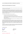#### **AGE ACTION IRELAND COMPANY LIMITED BY GUARANTEE**

#### **DIRECTORS' RESPONSIBILITIES STATEMENT**

The directors are responsible for preparing the directors' report and the financial statements in accordance with applicable Irish law and regulations.

 $\_$  , and the set of the set of the set of the set of the set of the set of the set of the set of the set of the set of the set of the set of the set of the set of the set of the set of the set of the set of the set of th

 $\_$  , and the set of the set of the set of the set of the set of the set of the set of the set of the set of the set of the set of the set of the set of the set of the set of the set of the set of the set of the set of th

 $\_$  , and the set of the set of the set of the set of the set of the set of the set of the set of the set of the set of the set of the set of the set of the set of the set of the set of the set of the set of the set of th

Irish company law requires the directors to prepare financial statements for each financial year. Under the law, the directors have elected to prepare the financial statements in accordance with the Companies Act 2014 and FRS 102 "The Financial Reporting Standard applicable in the UK and Republic of Ireland" issued by the Financial Reporting Council. Under the law, the directors must not approve the financial statements unless they are satisfied they give a true and fair view of the assets, liabilities and financial position of the company as at the financial year end and of the results of the company for the financial year and otherwise comply with the Companies Act 2014.

In preparing these financial statements, the directors are required to:

- select suitable accounting policies and then apply them consistently;
- make judgements and accounting estimates that are reasonable and prudent;
- state whether the financial statements have been prepared in accordance with applicable accounting standards, identify those standards, and note the effect and the reason for any material departure from those standards; and
- prepare the financial statements on the going concern basis unless it is inappropriate to presume that the company will continue in business.

The directors are responsible for ensuring that the company keeps or causes to be kept adequate accounting records which correctly explain and record the transactions of the company, enable at any time the assets, liabilities, financial position and results of the company to be determined with reasonable accuracy, enable them to ensure that the financial statements and directors' report comply with the Companies Act 2014 and enable the financial statements to be audited. They are also responsible for safeguarding the assets of the company and hence for taking reasonable steps for the prevention and detection of fraud and other irregularities.

The directors are responsible for the maintenance and integrity of the corporate and financial information included on the company's website. Legislation in Ireland governing the preparation and dissemination of financial statements may differ from legislation in other jurisdictions.

**On behalf of the Board**

**Director Director**

Poteit M. Cornard

**Colm Nagle Pat McCormack**

**Date:**  11 March 2022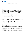#### **INDEPENDENT AUDITOR'S REPORT**

#### **TO THE MEMBERS OF**

#### **AGE ACTION IRELAND COMPANY LIMITED BY GUARANTEE**

#### **Report on the audit of the financial statements**

#### *Opinion*

We have audited the financial statements of Age Action Ireland Company Limited by Guarantee ('the company') for the year ended 31 December 2021, which comprise the Statement of Financial Activities, the Balance Sheet, the Statement of Cash Flows and notes to the financial statements, including the summary of significant accounting policies set out in note 3. The financial reporting framework that has been applied in their preparation is Irish Law and FRS 102 *The Financial Reporting Standard applicable in the UK and Republic of Ireland* issued in the United Kingdom by the Financial Reporting Council (FRS 102).

In our opinion the financial statements:

- give a true and fair view of the assets, liabilities and financial position of the company as at 31 December 2021 and of its surplus for the year then ended:
- have been properly prepared in accordance with FRS 102 The Financial Reporting Standard applicable in the UK and Republic of Ireland; and
- have been properly prepared in accordance with the requirements of the Companies Act 2014.

#### *Basis for opinion*

We conducted our audit in accordance with International Standards on Auditing (Ireland) (ISAs (Ireland)) and applicable law. Our responsibilities under those standards are further described in the *Auditor's Responsibilities for the Audit of the Financial Statements* section of our report.

We are independent of the Company in accordance with the ethical requirements that are relevant to our audit of financial statements in Ireland, including the Ethical Standard for Auditors (Ireland) issued by the Irish Auditing and Accounting Supervisory Authority (IAASA), and we have fulfilled our other ethical responsibilities in accordance with these requirements.

We believe that the audit evidence we have obtained is sufficient and appropriate to provide a basis for our opinion.

#### *Conclusions relating to going concern*

In auditing the financial statements, we have concluded that the directors' use of the going concern basis of accounting in the preparation of the financial statements is appropriate.

Based on the work we have performed, we have not identified any material uncertainties relating to events or conditions that, individually or collectively, may cast significant doubt on the Company's ability to continue as a going concern for a period of at least twelve months from the date when the financial statements are authorised for issue.

Our responsibilities and the responsibilities of the directors with respect to going concern are described in the relevant sections of this report.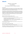#### **INDEPENDENT AUDITOR'S REPORT**

#### **TO THE MEMBERS OF**

#### **AGE ACTION IRELAND COMPANY LIMITED BY GUARANTEE**

#### *Other information*

The directors are responsible for the other information. The other information comprises the information included in the annual report other than the financial statements and our auditor's report thereon. Our opinion on the financial statements does not cover the other information and, except to the extent otherwise explicitly stated in our report, we do not express any form of assurance conclusion thereon.

Our responsibility is to read the other information and, in doing so, consider whether the other information is materially inconsistent with the financial statements or our knowledge obtained in the course of the audit, or otherwise appears to be materially misstated. If we identify such material inconsistencies or apparent material misstatements, we are required to determine whether there is a material misstatement in the financial statements or a material misstatement of the other information. If, based on the work we have performed, we conclude that there is a material misstatement of this other information, we are required to report that fact.

We have nothing to report in this regard.

#### *Opinions on other matters prescribed by the Companies Act 2014*

In our opinion, based on the work undertaken in the course of the audit, we report that:

- the information given in the directors' report for the financial year for which the financial statements are prepared is consistent with the financial statements;
- the directors' report has been prepared in accordance with applicable legal requirements;
- the accounting records of the Company were sufficient to permit the financial statements to be readily and properly audited; and
- the financial statements are in agreement with the accounting records.

We have obtained all the information and explanations which, to the best of our knowledge and belief, are necessary for the purposes of our audit.

#### *Matters on which we are required to report by exception*

Based on the knowledge and understanding of the Company and its environment obtained in the course of the audit, we have not identified any material misstatements in the directors' report.

The Companies Act 2014 requires us to report to you if, in our opinion, the requirements of any of Sections 305 to 312 of the Act, which relate to disclosures of directors' remuneration and transactions are not complied with by the Company. We have nothing to report in this regard.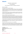#### **INDEPENDENT AUDITOR'S REPORT**

#### **TO THE MEMBERS OF**

#### **AGE ACTION IRELAND COMPANY LIMITED BY GUARANTEE**

#### **Respective responsibilities**

#### *Responsibilities of directors for the financial statements*

As explained more fully in the directors' responsibilities statement set out on page 11, the directors are responsible for the preparation of the financial statements in accordance with the applicable financial reporting framework that give a true and fair view, and for such internal control as management determines is necessary to enable the preparation of financial statements that are free from material misstatement, whether due to fraud or error.

In preparing the financial statements, the directors are responsible for assessing the Company's ability to continue as a going concern, disclosing, as applicable, matters related to going concern and using the going concern basis of accounting unless management either intends to liquidate the Company or to cease operations, or has no realistic alternative but to do so.

#### *Auditor's responsibilities for the audit of the financial statements*

Our objectives are to obtain reasonable assurance about whether the financial statements as a whole are free from material misstatement, whether due to fraud or error, and to issue an auditor's report that includes our opinion. Reasonable assurance is a high level of assurance but is not a guarantee that an audit conducted in accordance with ISAs (Ireland) will always detect a material misstatement when it exists. Misstatements can arise from fraud or error and are considered material if, individually or in the aggregate, they could reasonably be expected to influence the economic decisions of users taken on the basis of these financial statements.

A further description of our responsibilities for the audit of the financial statements is located on the Irish Auditing and Accounting Supervisory Authority's website at: http://www.iaasa.ie/getmedia/b2389013-1cf6- 458b-9b8f-a98202dc9c3a/Description\_of\_auditors\_responsibilities\_for\_audit.pdf. This description forms part of our auditor's report.

#### **The purpose of our audit work and to whom we owe our responsibilities**

Our report is made solely to the Company's members, as a body, in accordance with Section 391 of the Companies Act 2014. Our audit work has been undertaken so that we might state to the Company's members those matters we are required to state to them in an auditor's report and for no other purpose. To the fullest extent permitted by law, we do not accept or assume responsibility to anyone other than the Company and the Company's members, as a body, for our audit work, for this report, or for the opinions we have formed.

**Aedín Morkan For and on behalf of Mazars Chartered Accountants & Statutory Audit Firm Harcourt Centre Block 3 Harcourt Road Dublin 2** 

Date: 11 March 2022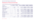

# **Statement of Financial Activities**

**Statement of Financial Activities (Incorporating An Income And Expenditure Account)**

| Income from                        | <b>Notes</b> | <b>Restricted</b><br><b>Funds 2021</b> | Unrestricted<br><b>Funds 2021</b> | <b>Year ended 31</b><br>December 2021 | <b>Restricted</b><br><b>Funds 2020</b> | Unrestricted<br><b>Funds 2020</b> | <b>Year ended 31</b><br>December 2020 |
|------------------------------------|--------------|----------------------------------------|-----------------------------------|---------------------------------------|----------------------------------------|-----------------------------------|---------------------------------------|
| <b>Charitable activities</b>       |              |                                        |                                   |                                       |                                        |                                   |                                       |
| Grants                             |              | 800,231                                | 411,807                           | 1,212,038                             | 720,101                                | 536,075                           | 1,256,176                             |
| Community employment programme     |              | 269,654                                |                                   | 269,654                               | 561,083                                |                                   | 561,083                               |
| <b>Donations and legacies</b>      |              |                                        |                                   |                                       |                                        |                                   |                                       |
| Donations and gifts                |              | 175                                    | 647,315                           | 647,490                               | 50,000                                 | 457,421                           | 507,421                               |
| <b>Fundraising events</b>          |              |                                        | 56,404                            | 56,404                                | $\sim$                                 | 104,718                           | 104,718                               |
| Legacies                           |              |                                        | 161,819                           | 161,819                               | $\sim$                                 | 989,508                           | 989,508                               |
| Membership subscriptions           |              |                                        | 17,467                            | 17,467                                |                                        | 30,475                            | 30,475                                |
| Other trading activities           |              |                                        |                                   |                                       |                                        |                                   |                                       |
| Retail income                      | $\bullet$    |                                        | 1,783                             | 783                                   |                                        | 450,445                           | 450,445                               |
| Sale of retail business and assets | $\bullet$    |                                        | 295,000                           | 295,000                               |                                        |                                   |                                       |
| Other income                       |              |                                        |                                   |                                       |                                        |                                   |                                       |
| Other income                       | 5            |                                        | 99,203                            | 99,203                                | 348,146                                | 97,963                            | 446,109                               |
| Interest income                    |              |                                        | 52                                | 52                                    |                                        | 44                                | 44                                    |
| <b>Total income</b>                |              | 1,070,060                              | 1,690,850                         | 2,760,910                             | 1,679,330                              | 2,666,649                         | 4,345,979                             |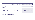

#### **Statement Of Financial Activities (Incorporating Income And Expenditure Account)**

|                                    | <b>Notes</b> | <b>Restricted</b><br><b>Funds 2021</b> | Unrestricted<br><b>Funds 2021</b> | <b>Year ended 31</b><br><b>December 2021</b> | <b>Restricted</b><br><b>Funds 2020</b> | Unrestricted<br><b>Funds 2020</b> | Year ended 31<br>December 2020 |
|------------------------------------|--------------|----------------------------------------|-----------------------------------|----------------------------------------------|----------------------------------------|-----------------------------------|--------------------------------|
| <b>Charitable activities</b>       |              |                                        |                                   |                                              |                                        |                                   |                                |
| Project expenses                   |              | 1,124,611                              | 634,224                           | 1,758,835                                    | 1,239,631                              | 659,603                           | 1,899,234                      |
| Community employment programme     |              | 269,654                                |                                   | 269,654                                      | 561,083                                |                                   | 561,083                        |
| <b>Raising funds</b>               |              |                                        |                                   |                                              |                                        |                                   |                                |
| Expenditure on raising funds       |              |                                        | 299,552                           | 299,552                                      | --                                     | 234,725                           | 234,725                        |
| Retail expenditure                 | 6            |                                        | 104,318                           | 104,318                                      |                                        | 916,767                           | 916,767                        |
| <b>Total expenditure</b>           |              | 1,394,265                              | 1,038,094                         | 2,432,359                                    | 1,800,714                              | 1,811,095                         | 3,611,809                      |
| Net (expenditure) / income         | 16           | (324, 205)                             | 652,756                           | 328,551                                      | (121, 384)                             | 855,554                           | 734,170                        |
| <b>Total funds brought forward</b> |              | 45,036                                 | 1,336,684                         | 1,381,720                                    | 38,934                                 | 608,616                           | 647,550                        |
| <b>Transfer of funds</b>           |              | 301,542                                | (301, 542)                        |                                              | 127,486                                | (127, 486)                        |                                |
| <b>Total funds carried forward</b> | 16           | 22,373                                 | 1,687,898                         | 1,710,271                                    | 45,036                                 | 1,336,684                         | 1,381,720                      |

The notes on pages 80 to 100 form part of these financial statements. There were no gains or losses other than those included above. All income and expenditure are in respect of continuing activities.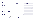#### **Balance Sheet**

|                                              |              | 31 December 2021 | 31 December 2020 |
|----------------------------------------------|--------------|------------------|------------------|
|                                              | <b>Notes</b> | €                | €                |
| <b>Fixed Assets</b>                          |              |                  |                  |
| Tangible assets                              | 12           | 22,078           | 40,728           |
| <b>Current Assets</b>                        |              |                  |                  |
| Debtors                                      | 13           | 171,240          | 111,868          |
| Cash at bank and in hand                     |              | 1,821,858        | 1,689,534        |
|                                              |              | 1,993,098        | 1,801,402        |
| <b>Creditors</b>                             |              |                  |                  |
| Amounts falling due within one year          | 14           | (304,905)        | (460, 410)       |
| <b>Net Current Assets</b>                    |              | 1,688,193        | 1,340,992        |
| <b>Total Assets Less Current Liabilities</b> |              | 1,710,271        | 1,381,720        |
| <b>Funds of the Charity</b>                  |              |                  |                  |
| Unrestricted funds                           | 16           | 1,687,898        | 1,336,684        |
| <b>Restricted funds</b>                      | 16           | 22,373           | 45,036           |
| <b>Total Charity Funds</b>                   | 17           | 1,710,271        | 1,381,720        |

|                                              |              | 31 December 2021 | 31 December 2020 |
|----------------------------------------------|--------------|------------------|------------------|
|                                              | <b>Notes</b> | $\epsilon$       | ŧ                |
| <b>Fixed Assets</b>                          |              |                  |                  |
| Tangible assets                              | 12           | 22,078           | 40,728           |
| <b>Current Assets</b>                        |              |                  |                  |
| Debtors                                      | 13           | 171,240          | 111,868          |
| Cash at bank and in hand                     |              | 1,821,858        | 1,689,534        |
|                                              |              | 1,993,098        | 1,801,402        |
| <b>Creditors</b>                             |              |                  |                  |
| Amounts falling due within one year          | 14           | (304,905)        | (460, 410)       |
| <b>Net Current Assets</b>                    |              | 1,688,193        | 1,340,992        |
| <b>Total Assets Less Current Liabilities</b> |              | 1,710,271        | 1,381,720        |
| <b>Funds of the Charity</b>                  |              |                  |                  |
| Unrestricted funds                           | 16           | 1,687,898        | 1,336,684        |
| <b>Restricted funds</b>                      | 16           | 22,373           | 45,036           |
| <b>Total Charity Funds</b>                   | 17           | 1,710,271        | 1,381,720        |

|                                              |              | 31 December 2021 | 31 December 2020 |
|----------------------------------------------|--------------|------------------|------------------|
|                                              | <b>Notes</b> | €                | €                |
| <b>Fixed Assets</b>                          |              |                  |                  |
| Tangible assets                              | 12           | 22,078           | 40,728           |
| <b>Current Assets</b>                        |              |                  |                  |
| Debtors                                      | 13           | 171,240          | 111,868          |
| Cash at bank and in hand                     |              | 1,821,858        | 1,689,534        |
|                                              |              | 1,993,098        | 1,801,402        |
| <b>Creditors</b>                             |              |                  |                  |
| Amounts falling due within one year          | 14           | (304,905)        | (460, 410)       |
| <b>Net Current Assets</b>                    |              | 1,688,193        | 1,340,992        |
| <b>Total Assets Less Current Liabilities</b> |              | 1,710,271        | 1,381,720        |
| <b>Funds of the Charity</b>                  |              |                  |                  |
| Unrestricted funds                           | 16           | 1,687,898        | 1,336,684        |
| <b>Restricted funds</b>                      | 16           | 22,373           | 45,036           |
| <b>Total Charity Funds</b>                   | 17           | 1,710,271        | 1,381,720        |

The notes on pages 80 to 100 forms part of these financial

statements. On behalf of the Board<br>Clue Megle

Polit De. Cornard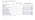#### **Statement of Cash Flows**

|                                                 | <b>Notes</b> | <b>Year ended 31 December 2021</b><br>€ | Year ended 31 December 2020<br>€ |  |  |  |
|-------------------------------------------------|--------------|-----------------------------------------|----------------------------------|--|--|--|
| <b>Cashflows from operating activities</b>      |              |                                         |                                  |  |  |  |
| Net income for the year                         |              | 328,551                                 | 734,170                          |  |  |  |
| Adjustments for                                 |              |                                         |                                  |  |  |  |
| Depreciation                                    | 12           | 41,709                                  | 73,527                           |  |  |  |
| Operating income before working capital changes |              | 370,260                                 | 807,697                          |  |  |  |
| Decrease/ (increase) in debtors                 |              | (59, 372)                               | 131,165                          |  |  |  |
| (Decrease)/ increase in creditors               |              | (155, 505)                              | 122,960                          |  |  |  |
| Net cash provided by operating activities       |              | 155,383                                 | 1,061,822                        |  |  |  |
| <b>Cashflows from investing activities</b>      |              |                                         |                                  |  |  |  |
| Acquisition of tangible fixed assets            | 12           | (23,059)                                | (1,471)                          |  |  |  |
| Cash used in investing activities               |              | (23,059)                                | (1,471)                          |  |  |  |
| Net increase in cash at bank and in hand        |              | 132,324                                 | 1,060,351                        |  |  |  |
| Cash at bank and in hand at beginning of year   |              | 1,689,534                               | 629,183                          |  |  |  |
| Cash at bank and in hand at end of year         |              | 1,821,858                               | 1,689,534                        |  |  |  |

The notes on pages 80 to 100 forms part of these financial statements.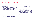# **Notes to the Financial Statements**

# **For the Year Ended 31 December 2021**

## **1. General Information**

Age Action Ireland Company Limited by Guarantee (the "company") is a company limited by guarantee and has no share capital. The company is a public benefit entity. The registered office and principal place of business is 30/31 Camden Street Lower, Dublin, Ireland D02EC96. The nature of the company's operations and its principal activities are set out in the directors' report.

### **2. Statement of Compliance**

The financial statements have been prepared in accordance with Financial Reporting Standard 102 "The Financial Reporting Standard Applicable in the UK and Republic of Ireland" ("FRS 102") and the Companies Act 2014.

### **3. Summary of Significant Accounting Policies**

The significant accounting policies applied in the preparation of these financial statements are set out below. These policies have been consistently applied to all years presented unless otherwise stated.

#### **a. Basis of preparation**

The financial statements have been prepared in accordance with Financial Reporting Standard 102 "The Financial Reporting Standard Applicable in the UK and Republic of Ireland" ("FRS 102") and the Companies Act 2014. The financial statements have also been prepared in accordance with Statement of Recommended Practice (SORP) "Accounting and Reporting by Charities" as published by the Charity Commission for England and Wales, the Charity Commission for Northern Ireland and the Office of the Scottish Charities Regulator, who are recognised by the UK Financial Reporting Council (FRC) as the appropriate bodies to issue SORPs for the charity sector in the UK. Financial reporting in line with SORP is considered best practice for charities in Ireland. The directors consider that the adoption of the SORP requirements is the most appropriate accounting to properly reflect and disclose the activities of the organisation. The financial statements have been prepared on a going concern basis under the historical cost convention, modified to include certain items at fair value.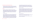#### **b. Functional currency and presentation currency**

The financial statements are measured and presented in the currency of the primary economic environment in which the entity operates (its functional currency). The financial statements are presented in Euro (" $\varepsilon$ ") which is also the functional currency of the company.

#### **c. Income**

All income is recognised in the Statement of Financial Activities ("SOFA") when the company is entitled to the income, any performance related conditions have been met, receipt is probable, and the amount can be quantified with reasonable accuracy. Income comprises grants for charitable activities, donations and legacies, and other trading activities.

#### *Charitable activities*

Grants are recognised when there is evidence of entitlement and their receipt is probable. Grants received towards capital expenditure are credited to the SOFA when received or receivable whichever is earlier. Grant income is deferred where the charity is restricted by specific performance related conditions that are evident in the grant agreement, where there is a specification of a time period that limits the charity's ability to spend the grant until it has performed that activity related

to the specified time period and when there are specific terms or conditions within the agreement that have not been met and are not within the control of the charity. Grants for Community employment programme are credited to the SOFA in the year to which they relate.

#### *Donations and legacies*

Voluntary income including donations, gifts and legacies are recognised where there is entitlement, receipt is probable, and the amount can be measured with sufficient reliability. Such income is only deferred when the donor specifies that the grant or donation must only be used in future accounting periods or the donors have imposed conditions which must be met before the charity has unconditional entitlement. Membership income is credited to the SOFA in the year to which it relates.

#### *Other trading activities*

Fundraising income and income from charity stores are credited to the SOFA when received or receivable whichever is earlier.

Employment wage subsidy scheme funds are credited to the SOFA in the year to which they relate.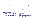Interest on funds held on deposit is included when receivable and the amount can be measured reliably by the charity.

Income is analysed as restricted or unrestricted. Restricted funds represent income recognised in the financial statements, which is subject to specific conditions imposed by the donors or grant making institutions. Unrestricted funds represent amounts which are expendable at the discretion of the company, in furtherance of the objectives of the charity. Such funds may be held in order to finance working capital or capital investment.

#### **d. Expenditure**

All expenditure is accounted for on an accruals basis and has been classified under headings that aggregate all costs related thereto. Where costs cannot be directly attributed to particular headings, they have been allocated to activities on a basis consistent with the use of the resources.

Support costs are incurred on those functions that assist the work of the Company but do not directly undertake charitable activities. Salaries and associated costs which can be attributed to specific projects are charged accordingly.

#### Governance costs include those costs associated with meeting the constitutional and statutory requirements of the Company and include the audit fees and costs linked to the strategic management of the Company.

#### **e. Employee benefits**

The charity provides a range of benefits to employees, including paid holiday pay arrangements and defined contribution pension plans.

#### *Short term benefits*

Short term benefits, including holiday pay and other similar nonmonetary benefits, are recognised as an expense in the period in which the service is received. A provision is made for the estimated liability for annual leave as a result of services rendered by employees up to the end of the financial year.

#### *Pensions*

The charity operates a defined contribution pension scheme. This scheme is administered by independent investment managers. Pension costs are expensed to the SOFA as incurred.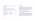#### **f. Operating leases**

Operating lease payments are charged to the SOFA in the period to which they relate.

#### **g. Tangible fixed assets**

Tangible fixed assets are initially recognised at cost and are subsequently stated at cost less accumulated depreciation.

Depreciation is provided at rates to write off the cost of each asset over its expected useful life as follows:

| <b>Office Equipment</b>       | 2-7 years  |
|-------------------------------|------------|
| Leasehold Premises & Fittings | 2-23 years |
| IT Hardware/ Software         | 2-3 years  |
| <b>Motor Vehicles</b>         | 4 years    |

#### **h. Financial instruments**

#### *Financial assets*

Basic financial assets, including trade and other debtors, and cash at bank and in hand are initially recognised at transaction price, unless the arrangement constitutes a financing transaction, where the transaction is measured at the present value of the future receipts discounted at a market rate of interest. Such assets are subsequently carried at amortised cost using the effective interest method.

At the end of each reporting period financial assets measured at amortised cost are assessed for objective evidence of impairment. The impairment loss is recognised in the SOFA.

Financial assets are derecognised when the contractual rights to the cash flows from the asset expire or are settled; or substantially all the risks and rewards of the ownership of the asset are transferred to another party; or control of the asset has been transferred to another party who has the practical ability to unilaterally sell the asset to an unrelated third party without imposing additional restrictions on transfer.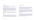#### *Financial liabilities*

Basic financial liabilities, including trade and other payables are initially recognised at transaction price.

Trade payables are obligations to pay for goods or services that have been acquired in the ordinary course of business from suppliers. Accounts payable are classified as current liabilities if payment is due within one year or less. If not, they are presented as non-current liabilities. Trade payables are recognised initially at transaction price and subsequently measured at amortised cost using the effective interest method.

Financial liabilities are derecognised when the liability is extinguished, that is when the contractual obligation is discharged, cancelled or expires.

#### *Offsetting*

Financial assets and liabilities are offset, and the net amounts presented in the financial statements when there is an enforceable right to set off the recognised amounts and there is an intention to settle on a net basis or to realise the asset and settle the liability simultaneously.

#### **i. Provisions and contingencies**

#### *Provisions*

Provisions are recognised when the company has a present legal or constructive obligation as a result of past events; it is probable that an outflow of resources will be required to settle the obligation; and the amount of the obligation can be estimated reliably.

Where there are a number of similar obligations, the likelihood that an outflow will be required in settlement is determined by considering the class of obligations as a whole. A provision is recognised even if the likelihood of an outflow with respect to any one item included in the same class of obligations may be small.

#### *Contingencies*

Contingent liabilities, arising as a result of past events, are recognised when it is probable that there will be an outflow of resources and the amount can be reliably measured at the reporting date. Contingent liabilities are disclosed in the financial statements unless the probability of an outflow of resources is remote.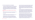# **4. Critical Accounting Estimates and Judgements**

The company makes judgements, estimates and assumptions about the carrying amounts of assets and liabilities that were not readily apparent from other sources in the application of the company's accounting policies. Estimates and judgements are continually evaluated and are based on historical experience and other factors that are considered to be reasonable under the circumstances. Actual results may differ from the estimates.

#### **a. Critical judgements made in applying the company's accounting policies**

The critical judgement (other than those involving estimates) that has a significant effect in the financial statements is discussed below:

#### *Going concern*

The company holds unrestricted and restricted funds in the amount of €1,687,898 and €22,373, respectively at 31 December 2021.

The impact of Covid-19 continued to be felt throughout 2021. This primarily impacted on live service delivery. Age Action generated a good deal of support from corporate partners over the course of the pandemic, which resulted in a fundraising bounce. This support not only

proved critical to Age Action's survival, but has provided a much needed boost to our reserves. It also enabled the Board to identify, within the reserves policy, a general fund, to support the organisation to identify and pilot new opportunities over the coming months. Age Action's capacity to develop a new fundraising strategy and secure sustainable independent funding will be critical to its survival over the next three to five years.

The Health Service Executive has provided additional funding for Age Action's Care & Repair Service, although they note that the service is not a 'core' health and social service. While this additional support is welcome, and retaining it, and growing it, is a key plank in achieving stability for Age Action, it remains uncertain into the future. Age Action will prioritise achieving formal recognition of this service as a core health and social care service over the next 12-24 months.

In the early months of 2022, the Board of Age Action commenced a strategic planning process. This includes a process for reviewing Age Action's fundraising strategy and conducting an organisation wide SWOT analysis (Strengths, Weaknesses, Opportunities, Threats). The process will include an external review, and the engagement of key external stakeholders. The new strategy, to be published before the end of 2022, will identify opportunities for new service provision, campaigning and advocacy priorities, good governance measures and a new approach to financial sustainability and fundraising.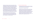The directors will continue to monitor costs and compliance with the agreed budget and spending parameters throughout 2022. The directors are confident that the company will be able to continue in operation for the foreseeable future. The directors have prepared budgets, projections and cash flow forecasts for a period of 12 months from the date of approval of these financial statements. These budgets, projections and forecasts involve a level of judgement about continuity of public funding and about the likely impact on the cost base of the organisation. Given the unprecedented nature of current circumstances, exacerbated by the continuing impact of Covid and the conflict in Ukraine, there is an element of uncertainty regarding Ireland's economic outlook. This may impact on public expenditure and/or fundraised income. Actual results may therefore differ from current budgetary expectations and forecasts.

Based on these budgets, projections and cash flow forecasts, on committed grant income over the next 12 months and cash at bank, the directors are satisfied that the company has adequate resources to continue for at least 12 months from the date of approval of these financial statements and it is appropriate to adopt the going concern basis in the preparation of the financial statements.

#### **b. Key sources of estimation uncertainty**

The estimates and assumptions that have a significant risk of causing a material adjustment to the carrying amounts of assets and liabilities within the next financial year are discussed below:

#### *Estimated Useful Lives of Tangible Fixed Assets*

Tangible fixed assets comprise office equipment, leasehold premises & fittings and IT hardware/ software. The annual depreciation charge depends primarily on the estimated lives of each type of asset. The directors regularly review these useful lives and change them if necessary to reflect current conditions. In determining these useful lives management consider technological change, patterns of consumption, physical condition and expected economic utilisation of the assets. Changes in the useful lives can have a significant impact on the depreciation charge for the financial year. There were no changes in the estimated useful lives of tangible fixed assets in 2021.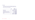#### **5. Income**

All income derives from activities in the Republic of Ireland. Income comprises grants, donations and legacies and other trading activities.

Other income consists of the following:

|                                | 2021<br>€ | 2020<br>€ |
|--------------------------------|-----------|-----------|
| <b>Rental income</b>           | 86,945    | 74,052    |
| Job plus grant                 | 6,250     |           |
| Temporary wage subsidy scheme  |           | 196,355   |
| Employment wage subsidy scheme |           | 151,791   |
| Others                         | 6,008     | 43,911    |
|                                | 99,203    | 446,109   |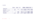# **6. Expenditure**

|                                | <b>Restricted</b><br><b>Funds 2021</b> | Unrestricted<br><b>Funds 2021</b> | <b>Total</b><br>2021 | <b>Restricted</b><br><b>Funds 2020</b> | Unrestricted<br><b>Funds 2020</b> | <b>Total</b><br>2020 |
|--------------------------------|----------------------------------------|-----------------------------------|----------------------|----------------------------------------|-----------------------------------|----------------------|
| <b>Charitable activities</b>   |                                        |                                   |                      |                                        |                                   |                      |
| Project expenses               | 1,124,611                              | 634,224                           | 1,758,835            | 1,239,631                              | 659,603                           | 1,899,234            |
| Community employment programme | 269,654                                |                                   | 269,654              | 561,083                                |                                   | 561,083              |
| <b>Raising funds</b>           |                                        |                                   |                      |                                        |                                   |                      |
| Expenditure on raising funds   |                                        | 299,552                           | 299,552              |                                        | 234,725                           | 234,725              |
| Retail expenditure             |                                        | 104,318                           | 104,318              | $\sim$                                 | 916,767                           | 916,767              |
| <b>Total expenditure</b>       | 1,394,265                              | 1,038,094                         | 2,432,359            | 1,800,714                              | 1,811,095                         | 3,611,809            |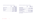# Included within the expenditure are support costs as follows:

|                           | 2021<br>€ | 2020<br>€ |
|---------------------------|-----------|-----------|
| <b>Wages and salaries</b> | 373,322   | 439,023   |
| Audit                     | 11,000    | 11,000    |
| <b>Rent and utilities</b> | 144,655   | 141,565   |
| Other costs               | 54,260    | 65,666    |
| Governance                | 26,617    | 8,511     |
|                           | 609,854   | 665,765   |

#### Included within the expenditure are support costs as follows:

|                                    | 2021<br>€  | 2020<br>€  |
|------------------------------------|------------|------------|
| <b>Unrestricted funds</b>          |            |            |
| Charity store income               | 1,783      | 450,445    |
| Sale of retail business and assets | 295,000    |            |
| Unrestricted expenditure           |            |            |
| Store expenditure                  | (104, 318) | (916, 767) |
| Net income / (expenditure)         | 192,465    | (466, 322) |

On 18 February 2021, the Company disposed of the retail business and assets for €295,000.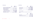#### **7. Net Income**

|                                      | 2021<br>€ | 2020<br>€ |
|--------------------------------------|-----------|-----------|
| Net income is stated after charging: |           |           |
| Depreciation of tangible assets      | 41,709    | 73,527    |
| <b>Auditors' remuneration:</b>       |           |           |
| • In respect of audit services       | 11,000    | 11,495    |
| . In respect of audit of CE scheme   | 738       | 726       |
| Operating leases – motor vehicles    |           | 45,452    |
| Operating leases - premises          | 222,861   | 405,316   |

# **8. Staff Costs**

|                           | 2021<br>€ | 2020<br>€ |
|---------------------------|-----------|-----------|
| <b>Wages and salaries</b> | 1,517,118 | 2,266,522 |
| Social welfare costs      | 99,169    | 123,573   |
| Pension costs             | 47,473    | 50,143    |
|                           | 1,663,760 | 2,440,238 |

### *Number of employees*

The average monthly number of employees during the year was as follows:

|                                   | 2021 | 2020 |
|-----------------------------------|------|------|
| <b>Charity stores</b>             |      | 23   |
| Development projects and services |      |      |
|                                   |      | 88   |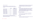#### *Staff costs (continued)*

The number of employees whose employee benefits for the year (excluding employer pension costs) fall within the following bands are as follows:

|                     | 2021 no. | 2020 no.         |
|---------------------|----------|------------------|
| €60,000 - €70,000   | 3        |                  |
| €70,000 - €80,000   |          |                  |
| €80,000 - €90,000   |          |                  |
| €90,000 - €100,000  |          |                  |
| €100,000 - €110,000 |          |                  |
| €110,000 - €120,000 |          |                  |
| €120,000 - €130,000 |          |                  |
|                     | Ò        | $\blacktriangle$ |

Age Action's Chief Executive is the highest paid employee with employee benefits of €133,045 (Salary €110,000, PRSI €12,045, Pension €11,000) in 2021 (2020: €122,145).

#### Contributions between 5% to 10% of salary were made by the company to the defined contribution pension scheme for four of the senior management team members who fall within the bands above.

## **9. Pension**

The company operates a defined contribution pension scheme and the assets of the scheme are held separately from those of the company in an independently administered fund. The pension cost charge represents contributions payable by the company to this scheme and amounts to €47,473 (2020: €50,143). An amount due of €9,625 (2020: €8,875) is included in creditors at year end date.

### **10. Directors' Emoluments**

No director received travel related expenses in 2021 (2020: €78).

None of the directors received remuneration or benefits for their services during 2021 and 2020.

#### **11. Taxation**

The company is a registered charity and accordingly the company avails of the charities' exemption from corporation tax.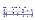# **12. Tangible Fixed Assets**

### **Balance Sheet**

| <b>Expenditure on</b>  | <b>Office</b><br>Equipment<br>€ | Leasehold<br><b>Premises &amp; Fittings</b><br>€ | <b>IT Hardware/</b><br>Software<br>€ | Motor<br><b>Vehicles</b><br>€ | <b>Total</b><br>€ |
|------------------------|---------------------------------|--------------------------------------------------|--------------------------------------|-------------------------------|-------------------|
| Cost                   |                                 |                                                  |                                      |                               |                   |
| At 31 December 2020    | 137,158                         | 306,918                                          | 107,096                              |                               | 551,172           |
| <b>Additions</b>       |                                 | 2,486                                            | 6,073                                | 14,500                        | 23,059            |
| At 31 December 2021    | 137,158                         | 309,404                                          | 113,169                              | 14,500                        | 574,231           |
| <b>Depreciation</b>    |                                 |                                                  |                                      |                               |                   |
| At 31 December 2020    | 136,540                         | 274,012                                          | 99,892                               |                               | 510,444           |
| Charge for the year    | 618                             | 33,220                                           | 5,757                                | 2,114                         | 41,709            |
| At 31 December 2021    | 137,158                         | 307,232                                          | 105,649                              | 2,114                         | 552,153           |
| <b>Net Book Amount</b> |                                 |                                                  |                                      |                               |                   |
| At 31 December 2020    | 618                             | 32,906                                           | 7,204                                |                               | 40,728            |
| At 31 December 2021    | <b>Service State</b>            | 2,172                                            | 7,520                                | 12,386                        | 22,078            |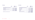# **13. Debtors**

|                                     | 2021<br>€ | 2020<br>€ |
|-------------------------------------|-----------|-----------|
| Amounts falling due within one year |           |           |
| Trade debtors                       | 13,296    | 6,845     |
| Prepayments and accrued income      | 155,409   | 40,857    |
| Other debtors                       | 2,535     | 64,176    |
|                                     | 171,240   | 111, 878  |

All debtors are due within one year.

# **14. Creditors**

|                                     | 2021<br>€ | 2020<br>€ |
|-------------------------------------|-----------|-----------|
| Amounts falling due within one year |           |           |
| <b>Trade creditors</b>              | 75,797    | 43,548    |
| Other creditors                     | 34,560    | 122,241   |
| PAYE/PRSI                           | 40,529    | 41,013    |
| <b>Accruals</b>                     | 47,011    | 52,785    |
| Deferred income (Note 15)           | 107,008   | 200,823   |
|                                     | 304,905   | 460,410   |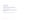# **Creditors (continued)**

*Trade and other creditors*

The repayment terms of trade and other creditors vary between on demand and 30 days. No interest is payable on trade creditors.

*Taxes and social security costs*

Taxes and social security costs are subject to the terms of the relevant legislation. Interest accrues on late payment. No interest was due at the financial year end date.

*Accruals*

Accruals are expected to be settled within the next 12 months.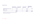### **15. Deferred Income**

|                                                              | <b>Opening Deferred</b><br><b>Income 1 January 2021</b> | <b>Amounts received</b><br>during the year | <b>Amounts released</b><br>during the year | <b>Closing deferred</b><br>income 31 December<br>2021 |
|--------------------------------------------------------------|---------------------------------------------------------|--------------------------------------------|--------------------------------------------|-------------------------------------------------------|
| Department of The Environment, Climate<br>and Communications | 113,039                                                 |                                            | (47, 044)                                  | 65,995                                                |
| <b>IHREC</b>                                                 | 7,500                                                   |                                            | (7,500)                                    |                                                       |
| CE advance payment                                           | 80,284                                                  |                                            | (39, 271)                                  | 41,013                                                |
|                                                              | 200,823                                                 |                                            | (93, 815)                                  | 107,008                                               |

Deferred income comprises of grants received in advance in which terms and conditions have not yet been met.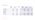# **16. Movement Of Funds**

|                            | 2021                            |                                   |                          | 2020                            |                            |                        |
|----------------------------|---------------------------------|-----------------------------------|--------------------------|---------------------------------|----------------------------|------------------------|
|                            | <b>Restricted</b><br>funds<br>€ | <b>Unrestricted</b><br>funds<br>€ | <b>Total 2021</b><br>€   | <b>Restricted</b><br>funds<br>€ | Unrestricted<br>funds<br>€ | <b>Total 2020</b><br>€ |
| <b>Opening balance</b>     | 45,036                          | 1,336,684                         | 1,381,720                | 38,934                          | 608,616                    | 647,550                |
| Net (expenditure) / income | (324, 205)                      | 652,756                           | 328,551                  | (121, 384)                      | 855,554                    | 734,170                |
| Transfer of funds          | 301,542                         | (301, 542)                        | <b>Contract Contract</b> | 127,486                         | (127, 486)                 |                        |
| <b>Closing balance</b>     | 22,373                          | 1,687,878                         | 1,710,271                | 45,036                          | 1,336,684                  | 1,381,720              |
| <b>Represented by:</b>     |                                 |                                   |                          |                                 |                            |                        |
| <b>Fixed assets</b>        |                                 | 22,076                            | 22,076                   |                                 | 40,728                     | 40,728                 |
| <b>Current assets</b>      | 151,754                         | 1,841,346                         | 1,993,100                | 245,859                         | 1,555,543                  | 1,801,402              |
| <b>Current liabilities</b> | (129, 381)                      | (175, 524)                        | (304,905)                | (200, 823)                      | (259, 587)                 | (460, 410)             |
|                            | 22,373                          | 1,687,898                         | 1,710,271                | 45,036                          | 1,336,684                  | 1,381,720              |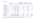# **17. Statement Of Funds**

|                                                           | <b>Opening balance</b><br><b>1 January 2021</b><br>€ | <b>Income</b><br>€ | <b>Expenditure</b><br>€ | <b>Cross subsidisation</b><br>from Department of<br><b>Social Protection funds</b><br>€ | <b>Cross subsidisation</b><br>to $/$ from<br>unrestricted funds<br>€ | <b>Closing balance</b><br>31 December 2021 |
|-----------------------------------------------------------|------------------------------------------------------|--------------------|-------------------------|-----------------------------------------------------------------------------------------|----------------------------------------------------------------------|--------------------------------------------|
| <b>Restricted funds</b>                                   |                                                      |                    |                         |                                                                                         |                                                                      |                                            |
| <b>Age Action West</b>                                    |                                                      | 43,000             | (124, 395)              |                                                                                         | 81,395                                                               |                                            |
| <b>Ageing &amp; Development</b>                           | 37,475                                               |                    | (22, 663)               |                                                                                         |                                                                      | 14,812                                     |
| Care & Repair*<br>3 <sup>1</sup>                          | $\sim$                                               | 321,025            | (362, 736)              | 44,214                                                                                  | (2,503)                                                              |                                            |
| Getting Started*<br>4                                     |                                                      | 105,156            | (191,905)               | 37,823                                                                                  | 48,926                                                               |                                            |
| Lifelong Learning<br>5                                    |                                                      | 66,500             | (66, 500)               |                                                                                         |                                                                      |                                            |
| <b>Social Partnership/Policy</b><br>6                     | 7,561                                                | 135,060            | (186, 419)              |                                                                                         | 51,359                                                               | 7,561                                      |
| <b>Age Action South</b>                                   |                                                      | 19,450             | (59,778)                |                                                                                         | 40,328                                                               |                                            |
| Community employment<br>8<br>programme                    |                                                      | 269,654            | (269, 654)              |                                                                                         |                                                                      |                                            |
| <b>Dublin City Council</b><br>9<br><b>Community Grant</b> |                                                      | 31,250             | (31, 250)               |                                                                                         |                                                                      |                                            |
| Administration<br>10                                      |                                                      | 78,965             | (78, 965)               |                                                                                         |                                                                      |                                            |
| <b>Total restricted funds</b>                             | 45,036                                               | 1,070,060          | (1, 394, 265)           | 82,037                                                                                  | 219,505                                                              | 22,373                                     |
| Unrestricted funds                                        | 1,336,684                                            | 1,690,850          | (1,038,094)             | (82,037)                                                                                | (219, 505)                                                           | 1,687,898                                  |
| <b>Total funds</b>                                        | 1,381,720                                            | 2,760,910          | (2,432,359)             |                                                                                         |                                                                      | 1,710,271                                  |

\*The cross-subsidisation amounts funded by the Department of Social Protection relate to staff participating in the Community Employment Scheme. The amounts for the Care & Repair Programme 2021 are €44,214 and Getting Started Programme 2021 is €37,823.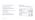The above projects were chiefly funded by the following donors:

- 1. Ageing & Development Help Age International
- 2. Care & Repair HSE & Cork City Council
- 3. Getting Started The Department of Communications, Climate & Environment & Dublin City Council Community Grant
- 4. Lifelong Learning Solas
- 5. Social Partnership / Policy The Department of Rural & Community Development, Pobal & IHREC
- 6. Age Action South HSE Cork
- 7. Age Action West HSE & Galway City Council

The Company is compliant with Circular 44/2006 "Tax Clearance Procedures Grants, Subsidies and Similar Type Payments".

#### **18. Financial Instruments**

The analysis of the carrying amounts of the financial instruments of the charity required under Section 11 of FRS 102 is as follows:

|                                                | 2020<br>2021<br>€<br>€ |           |
|------------------------------------------------|------------------------|-----------|
| <b>Financial assets at amortised cost</b>      |                        |           |
| <b>Trade debtors</b>                           | 13,296                 | 6,845     |
| Other debtors                                  | 147,249                | 68,582    |
| Cash and cash equivalents                      | 1,821,858              | 1,689,534 |
|                                                | 1,982,403              | 1,764,961 |
| <b>Financial liabilities at amortised cost</b> |                        |           |
| <b>Trade creditors</b>                         | 75,797                 | 43,549    |
| <b>Accruals</b>                                | 47,011                 | 52,785    |
| Other creditors                                | 78,920                 | 122,241   |
|                                                | 201,728                | 218,575   |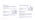#### **19. Financial Commitments**

The company has entered into various non-cancellable operating leases for its office space. Operating lease expense in 2021 amounted to €228,187 (2020: €450,768).

Total future minimum lease payments under non-cancellable operating leases are as follows:

|                                | 2021<br>€ | 2020<br>€ |
|--------------------------------|-----------|-----------|
| Due within one year            | 124,034   | 145,004   |
| Due between two and five years | 440,002   | 558,752   |
| After five years               | 220,008   | 110,000   |
|                                | 784,044   | 813,756   |

The company entered into a sub-lease agreement for a space at 30-31 Camden Street Lower. Rental income during the year amounted to €86,945 (2020: €50,000).

Total future minimum lease payments to be received under non-cancellable operating leases are as follows:

|                                | 2021<br>€ | 2020<br>€ |
|--------------------------------|-----------|-----------|
| Due within one year            | 60,000    | 50,000    |
| Due between two and five years | 240,000   | 200,000   |
| After five years               | 50,000    | 45,834    |
|                                | 350,000   | 295,834   |

#### **20. Related Party Transactions**

*Key management personnel*

Total remuneration including employer's social insurance in respect of senior employees who have authority and responsibility for planning, directing and controlling the activities of the charity amounted to €502,882 (2020: €478,900).

Directors received no expenses/reimbursements during the year.

Donations and membership fees received from directors amounted to €220 (2020: €300).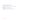# **21. Events Subsequent to the Year End**

There have been no significant events affecting the company since the year end.

# **22. Approval of Financial Statements**

The financial statements were approved by the directors on 11/03/2022.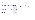# **Appendix 1**

# **Income & Expenditure Account – Pobal (Unaudited)**

|                               | <b>SSNO 2019-2022</b><br>31.Dec.21<br>€ | <b>SSNO 2019-2022</b><br>31.Dec.20<br>€ |
|-------------------------------|-----------------------------------------|-----------------------------------------|
| <b>Grant received</b>         | 89,916                                  | 89,916                                  |
| Grant used in 2021            | 89,916                                  | 89,916                                  |
| Salaries & wages              | 84,060                                  | 86,458                                  |
| Training and development      |                                         |                                         |
| <b>Staff recruitment</b>      |                                         |                                         |
| <b>Admin Costs</b>            | 3,450                                   | 3,458                                   |
| <b>Total costs</b>            | 87,510                                  | 89,916                                  |
| Grant carried forward to 2022 | 2,406                                   |                                         |

| Name of Programme               | <b>Scheme to Support National Organisations</b><br>$(SSNO)$ 2019 - 2022 |
|---------------------------------|-------------------------------------------------------------------------|
| <b>Purpose of Grant</b>         | To fund a Social Policy Officer and a Health<br><b>Policy Officer</b>   |
| Name of Grantor                 | <b>POBAL</b>                                                            |
| <b>Capital Grant disclosure</b> | No Capital Grant received                                               |
| <b>Restrictions Disclosure</b>  | Restricted to the purpose for which the Grant<br>was awarded            |
| <b>Tax Clearance Disclosure</b> | Age Action Ireland CLG (Tax No: 6606029F)<br>is tax compliant           |
|                                 |                                                                         |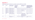# **Appendix 2**

| <b>Funder</b> | <b>Scheme</b>                  | <b>Amounts and Term of</b><br>the Total Awarded     | The amount of<br>the grant taken<br>to income in<br>the financial<br>statements |            | Purpose for which the<br>funds applied                                                                                        | Where relevant the amount<br>of capital provided, and the<br>reporting policies being used<br>in relation to current and<br>future instalments |
|---------------|--------------------------------|-----------------------------------------------------|---------------------------------------------------------------------------------|------------|-------------------------------------------------------------------------------------------------------------------------------|------------------------------------------------------------------------------------------------------------------------------------------------|
| <b>HSE</b>    | Section 39,<br>Health Act 2004 | €250,000 - Term Jan 1st<br>2021 - Dec 31st, 2021    | €250,000                                                                        | Restricted | Care & Repair Programme                                                                                                       | Report to be submitted to HSE                                                                                                                  |
| <b>HSE</b>    | Section 39,<br>Health Act 2004 | €20,000 - Term Jan 1st,<br>2021- Dec 31st, 2021     | €20,000                                                                         | Restricted | Pilot Hospital Discharge -<br>Cork region                                                                                     | Report to be submitted to HSE                                                                                                                  |
| <b>HSE</b>    | Section 39,<br>Health Act 2004 | €10,000 - Term Jan 1st,<br>2020- June 30th, 2021    | €10,000                                                                         | Restricted | <b>Age Action South</b>                                                                                                       | Report to be submitted to HSE                                                                                                                  |
| <b>HSE</b>    | Section 39,<br>Health Act 2004 | €411,807 - Term Jan1st<br>2021- Dec 31st, 2021      | €411,807                                                                        | Restricted | Core                                                                                                                          | Report to be submitted to HSE                                                                                                                  |
| Pobal         | SSNO                           | €269,423 - Term July 1st,<br>2019 - June 30th, 2022 | €89,916                                                                         | Restricted | To support advocacy,<br>information, provision<br>and research and policy<br>development on issues<br>affecting older persons | <b>Quarterly reports &amp; Deferred</b><br>income                                                                                              |
| Solas         |                                | €66,500 - Term Jan 1st-<br>Dec 31st, 2021           | €66,500                                                                         | Restricted | <b>Specific Supports Core</b><br>Funding                                                                                      | Mid year and end of year<br>report                                                                                                             |

# **Principal State Funders The table below is provided as required by DEPR Circular 13/2014**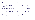| <b>Funder</b>                                          | <b>Scheme</b>                                  | <b>Amounts and Term of</b><br>the Total Awarded    | The amount of the<br>grant taken to income<br>in the financial<br><b>statements</b> |            | Purpose for which<br>the funds applied    | Where relevant the amount<br>of capital provided, and the<br>reporting policies being used<br>in relation to current and<br>future instalments |
|--------------------------------------------------------|------------------------------------------------|----------------------------------------------------|-------------------------------------------------------------------------------------|------------|-------------------------------------------|------------------------------------------------------------------------------------------------------------------------------------------------|
| Department<br>of Rural and<br>Community<br>development | Community and<br><b>Voluntary Pillar</b>       | €30,144 - Term Jan 1st,<br>2021 - Dec 31st, 2021   | €30,144                                                                             | Restricted | Advocacy and<br>Communications            | Mid-year and end of year<br>report                                                                                                             |
| Revenue<br><b>Commissioners</b>                        | Employment<br><b>Wage Subsidy</b><br>Scheme    | €186,165- Term Jan 1st<br>2021 to August 7th, 2021 | €186,165                                                                            | Restricted | Wages                                     | Revenue Reconciliation to<br><b>Revenue Commissioner</b>                                                                                       |
| <b>DCCAE</b>                                           | Digital Skills for<br>Citizens grant<br>scheme | €135,000- Jan 1st 2020 -<br>June 30th, 2020        | €69,005                                                                             | Restricted | Digital Skills training                   | Deferred Income for future<br>instalments and annual report                                                                                    |
| <b>Cork County</b><br>Council                          | Community<br>Support                           | €20,000 - Jan 1st 2021 -<br>December 31st, 2021    | €20,000                                                                             | Restricted | Support older persons                     | <b>Annual Report</b>                                                                                                                           |
| <b>DEASP</b>                                           | Community<br>Employment                        | €269,654- Jan 1st, 2021 -<br>Dec 31st, 2021        | €269,654                                                                            | Restricted |                                           | <b>Complete Annual return with</b><br>signed Auditors statement                                                                                |
| <b>Galway City</b><br>Council                          |                                                | €10,000                                            | €10,000                                                                             | Restricted | <b>Age Action West</b><br>office upgrades |                                                                                                                                                |
| <b>HSE</b>                                             | Section 39,<br>Health Act 2004                 | €5,000 Jan 1st-Dec 31st,<br>2021                   | €5,000                                                                              | Restricted | Care & Repair<br>Programme                |                                                                                                                                                |